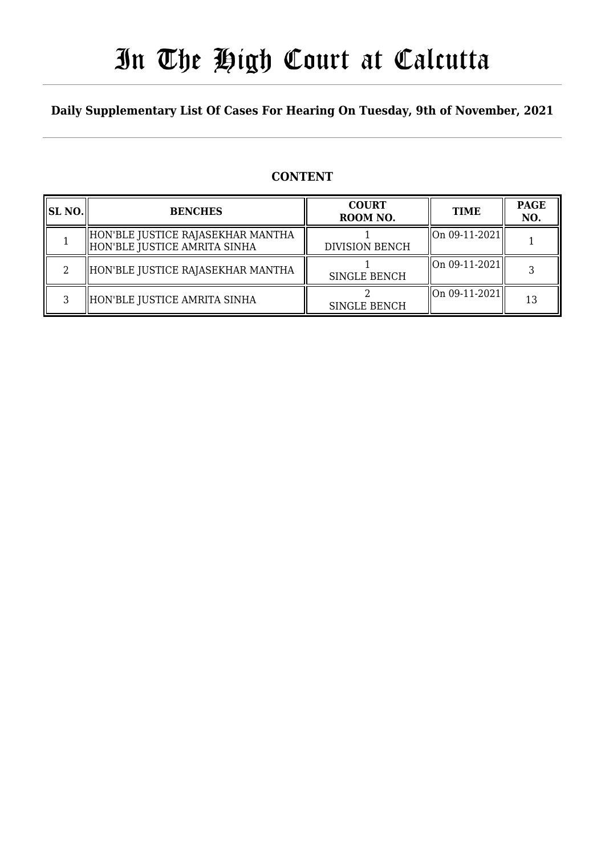# In The High Court at Calcutta

#### **Daily Supplementary List Of Cases For Hearing On Tuesday, 9th of November, 2021**

#### **CONTENT**

| <b>SL NO.</b> | <b>BENCHES</b>                                                    | <b>COURT</b><br>ROOM NO. | <b>TIME</b>                          | <b>PAGE</b><br>NO. |
|---------------|-------------------------------------------------------------------|--------------------------|--------------------------------------|--------------------|
|               | HON'BLE JUSTICE RAJASEKHAR MANTHA<br>HON'BLE JUSTICE AMRITA SINHA | <b>DIVISION BENCH</b>    | $\left\  0n 09 - 11 - 2021 \right\ $ |                    |
|               | HON'BLE JUSTICE RAJASEKHAR MANTHA                                 | <b>SINGLE BENCH</b>      | $\vert$ On 09-11-2021 $\vert\vert$   |                    |
|               | HON'BLE JUSTICE AMRITA SINHA                                      | <b>SINGLE BENCH</b>      | $\vert$ On 09-11-2021 $\vert\vert$   | 13                 |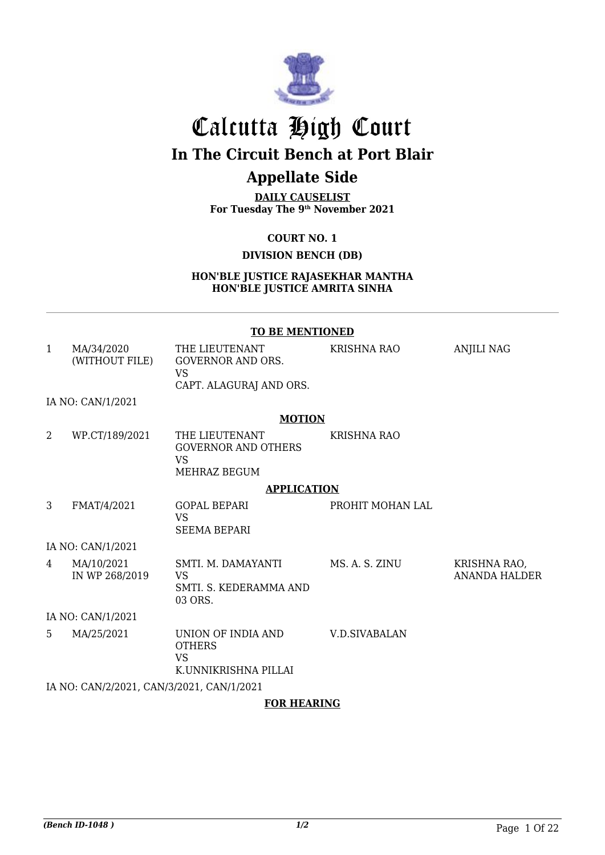

# Calcutta High Court **In The Circuit Bench at Port Blair**

### **Appellate Side**

**DAILY CAUSELIST For Tuesday The 9th November 2021**

**COURT NO. 1**

#### **DIVISION BENCH (DB)**

**HON'BLE JUSTICE RAJASEKHAR MANTHA HON'BLE JUSTICE AMRITA SINHA**

#### **TO BE MENTIONED**

| 1  | MA/34/2020<br>(WITHOUT FILE)              | THE LIEUTENANT<br><b>GOVERNOR AND ORS.</b><br><b>VS</b>                   | <b>KRISHNA RAO</b> | <b>ANJILI NAG</b>                    |  |
|----|-------------------------------------------|---------------------------------------------------------------------------|--------------------|--------------------------------------|--|
|    |                                           | CAPT. ALAGURAJ AND ORS.                                                   |                    |                                      |  |
|    | IA NO: CAN/1/2021                         |                                                                           |                    |                                      |  |
|    |                                           | <b>MOTION</b>                                                             |                    |                                      |  |
| 2  | WP.CT/189/2021                            | THE LIEUTENANT<br><b>GOVERNOR AND OTHERS</b><br><b>VS</b><br>MEHRAZ BEGUM | KRISHNA RAO        |                                      |  |
|    |                                           | <b>APPLICATION</b>                                                        |                    |                                      |  |
| 3  | FMAT/4/2021                               | <b>GOPAL BEPARI</b><br><b>VS</b><br><b>SEEMA BEPARI</b>                   | PROHIT MOHAN LAL   |                                      |  |
|    | IA NO: CAN/1/2021                         |                                                                           |                    |                                      |  |
| 4  | MA/10/2021<br>IN WP 268/2019              | SMTI. M. DAMAYANTI<br><b>VS</b><br>SMTI. S. KEDERAMMA AND<br>03 ORS.      | MS. A. S. ZINU     | KRISHNA RAO,<br><b>ANANDA HALDER</b> |  |
|    | IA NO: CAN/1/2021                         |                                                                           |                    |                                      |  |
| 5. | MA/25/2021                                | UNION OF INDIA AND<br><b>OTHERS</b><br><b>VS</b><br>K.UNNIKRISHNA PILLAI  | V.D.SIVABALAN      |                                      |  |
|    | IA NO: CAN/2/2021, CAN/3/2021, CAN/1/2021 |                                                                           |                    |                                      |  |
|    | <b>FOR HEARING</b>                        |                                                                           |                    |                                      |  |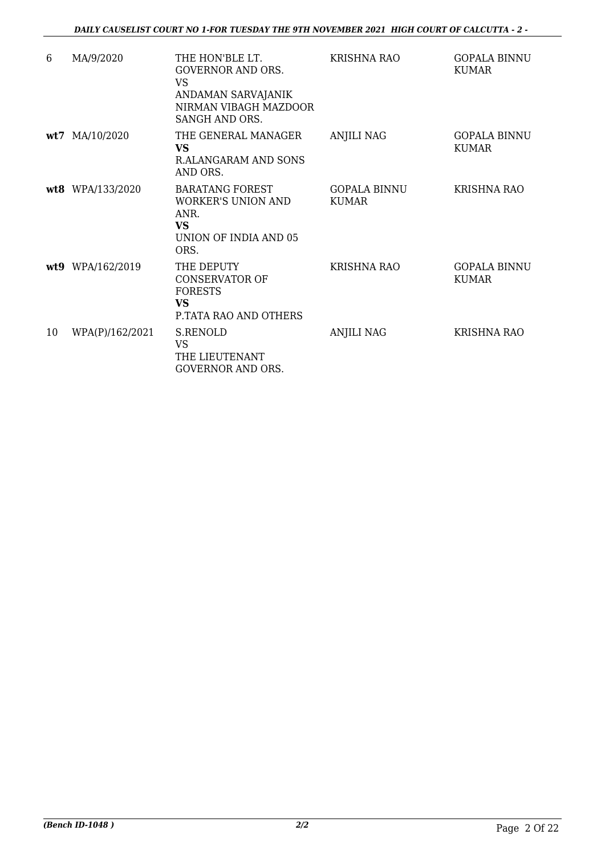| 6  | MA/9/2020        | THE HON'BLE LT.<br><b>GOVERNOR AND ORS.</b><br><b>VS</b><br>ANDAMAN SARVAJANIK<br>NIRMAN VIBAGH MAZDOOR<br>SANGH AND ORS. | <b>KRISHNA RAO</b>                  | <b>GOPALA BINNU</b><br><b>KUMAR</b> |
|----|------------------|---------------------------------------------------------------------------------------------------------------------------|-------------------------------------|-------------------------------------|
|    | wt7 MA/10/2020   | THE GENERAL MANAGER<br><b>VS</b><br>R.ALANGARAM AND SONS<br>AND ORS.                                                      | <b>ANJILI NAG</b>                   | <b>GOPALA BINNU</b><br><b>KUMAR</b> |
|    | wt8 WPA/133/2020 | <b>BARATANG FOREST</b><br><b>WORKER'S UNION AND</b><br>ANR.<br><b>VS</b><br>UNION OF INDIA AND 05<br>ORS.                 | <b>GOPALA BINNU</b><br><b>KUMAR</b> | <b>KRISHNA RAO</b>                  |
|    | wt9 WPA/162/2019 | THE DEPUTY<br><b>CONSERVATOR OF</b><br><b>FORESTS</b><br><b>VS</b><br>P.TATA RAO AND OTHERS                               | <b>KRISHNA RAO</b>                  | <b>GOPALA BINNU</b><br><b>KUMAR</b> |
| 10 | WPA(P)/162/2021  | <b>S.RENOLD</b><br><b>VS</b><br>THE LIEUTENANT<br><b>GOVERNOR AND ORS.</b>                                                | <b>ANJILI NAG</b>                   | <b>KRISHNA RAO</b>                  |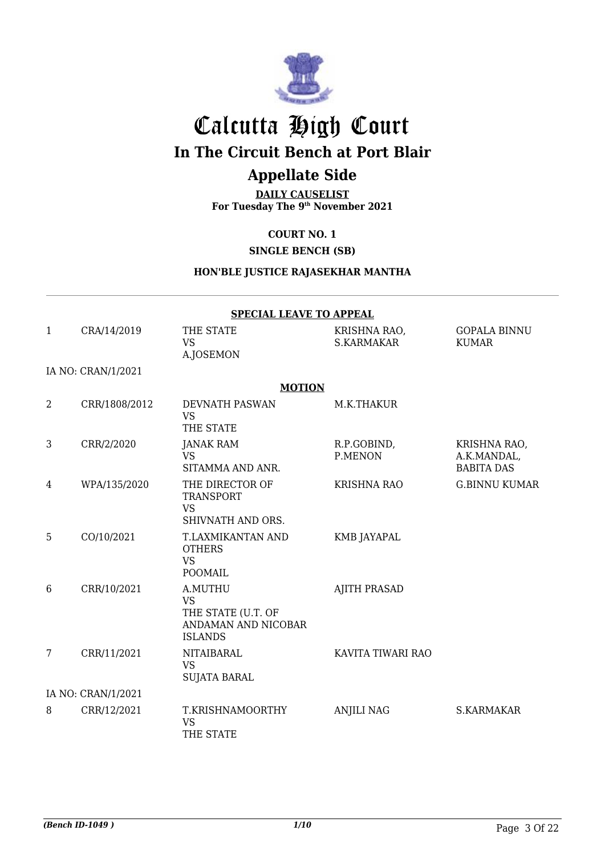

## Calcutta High Court

**In The Circuit Bench at Port Blair**

### **Appellate Side**

**DAILY CAUSELIST For Tuesday The 9th November 2021**

#### **COURT NO. 1**

**SINGLE BENCH (SB)**

#### **HON'BLE JUSTICE RAJASEKHAR MANTHA**

|                | <b>SPECIAL LEAVE TO APPEAL</b> |                                                                                     |                                   |                                                  |  |
|----------------|--------------------------------|-------------------------------------------------------------------------------------|-----------------------------------|--------------------------------------------------|--|
| 1              | CRA/14/2019                    | THE STATE<br><b>VS</b><br>A.JOSEMON                                                 | KRISHNA RAO,<br><b>S.KARMAKAR</b> | <b>GOPALA BINNU</b><br><b>KUMAR</b>              |  |
|                | IA NO: CRAN/1/2021             |                                                                                     |                                   |                                                  |  |
|                |                                | <b>MOTION</b>                                                                       |                                   |                                                  |  |
| $\overline{2}$ | CRR/1808/2012                  | DEVNATH PASWAN<br><b>VS</b><br>THE STATE                                            | M.K.THAKUR                        |                                                  |  |
| 3              | CRR/2/2020                     | <b>JANAK RAM</b><br><b>VS</b><br>SITAMMA AND ANR.                                   | R.P.GOBIND,<br>P.MENON            | KRISHNA RAO,<br>A.K.MANDAL,<br><b>BABITA DAS</b> |  |
| 4              | WPA/135/2020                   | THE DIRECTOR OF<br><b>TRANSPORT</b><br><b>VS</b><br>SHIVNATH AND ORS.               | <b>KRISHNA RAO</b>                | <b>G.BINNU KUMAR</b>                             |  |
| 5              | CO/10/2021                     | T.LAXMIKANTAN AND<br><b>OTHERS</b><br><b>VS</b><br>POOMAIL                          | <b>KMB JAYAPAL</b>                |                                                  |  |
| 6              | CRR/10/2021                    | A.MUTHU<br><b>VS</b><br>THE STATE (U.T. OF<br>ANDAMAN AND NICOBAR<br><b>ISLANDS</b> | <b>AJITH PRASAD</b>               |                                                  |  |
| 7              | CRR/11/2021                    | <b>NITAIBARAL</b><br><b>VS</b><br><b>SUJATA BARAL</b>                               | KAVITA TIWARI RAO                 |                                                  |  |
|                | IA NO: CRAN/1/2021             |                                                                                     |                                   |                                                  |  |
| 8              | CRR/12/2021                    | T.KRISHNAMOORTHY<br><b>VS</b><br>THE STATE                                          | <b>ANJILI NAG</b>                 | S.KARMAKAR                                       |  |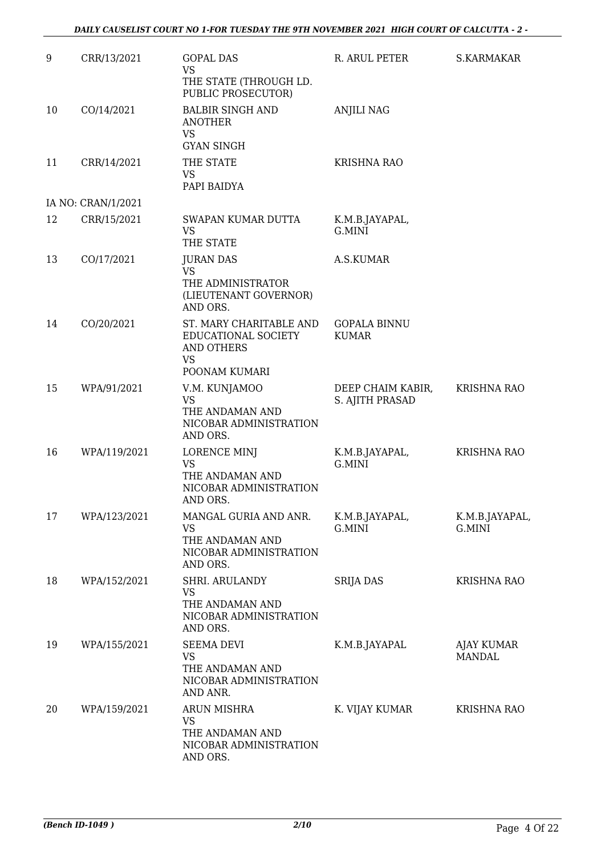| 9  | CRR/13/2021        | <b>GOPAL DAS</b><br><b>VS</b><br>THE STATE (THROUGH LD.                                     | R. ARUL PETER                        | <b>S.KARMAKAR</b>                  |
|----|--------------------|---------------------------------------------------------------------------------------------|--------------------------------------|------------------------------------|
| 10 | CO/14/2021         | PUBLIC PROSECUTOR)<br><b>BALBIR SINGH AND</b><br><b>ANOTHER</b><br><b>VS</b>                | <b>ANJILI NAG</b>                    |                                    |
| 11 | CRR/14/2021        | <b>GYAN SINGH</b><br>THE STATE<br><b>VS</b><br>PAPI BAIDYA                                  | <b>KRISHNA RAO</b>                   |                                    |
|    | IA NO: CRAN/1/2021 |                                                                                             |                                      |                                    |
| 12 | CRR/15/2021        | SWAPAN KUMAR DUTTA<br><b>VS</b><br>THE STATE                                                | K.M.B.JAYAPAL,<br>G.MINI             |                                    |
| 13 | CO/17/2021         | <b>JURAN DAS</b><br><b>VS</b><br>THE ADMINISTRATOR<br>(LIEUTENANT GOVERNOR)<br>AND ORS.     | A.S.KUMAR                            |                                    |
| 14 | CO/20/2021         | ST. MARY CHARITABLE AND<br>EDUCATIONAL SOCIETY<br><b>AND OTHERS</b><br>VS                   | <b>GOPALA BINNU</b><br><b>KUMAR</b>  |                                    |
|    |                    | POONAM KUMARI                                                                               |                                      |                                    |
| 15 | WPA/91/2021        | V.M. KUNJAMOO<br><b>VS</b><br>THE ANDAMAN AND<br>NICOBAR ADMINISTRATION<br>AND ORS.         | DEEP CHAIM KABIR,<br>S. AJITH PRASAD | <b>KRISHNA RAO</b>                 |
| 16 | WPA/119/2021       | <b>LORENCE MINJ</b><br><b>VS</b><br>THE ANDAMAN AND<br>NICOBAR ADMINISTRATION<br>AND ORS.   | K.M.B.JAYAPAL,<br>G.MINI             | <b>KRISHNA RAO</b>                 |
| 17 | WPA/123/2021       | MANGAL GURIA AND ANR.<br><b>VS</b><br>THE ANDAMAN AND<br>NICOBAR ADMINISTRATION<br>AND ORS. | K.M.B.JAYAPAL,<br>G.MINI             | K.M.B.JAYAPAL,<br>G.MINI           |
| 18 | WPA/152/2021       | SHRI. ARULANDY<br><b>VS</b><br>THE ANDAMAN AND<br>NICOBAR ADMINISTRATION<br>AND ORS.        | <b>SRIJA DAS</b>                     | <b>KRISHNA RAO</b>                 |
| 19 | WPA/155/2021       | <b>SEEMA DEVI</b><br><b>VS</b><br>THE ANDAMAN AND<br>NICOBAR ADMINISTRATION<br>AND ANR.     | K.M.B.JAYAPAL                        | <b>AJAY KUMAR</b><br><b>MANDAL</b> |
| 20 | WPA/159/2021       | ARUN MISHRA<br><b>VS</b><br>THE ANDAMAN AND<br>NICOBAR ADMINISTRATION<br>AND ORS.           | K. VIJAY KUMAR                       | <b>KRISHNA RAO</b>                 |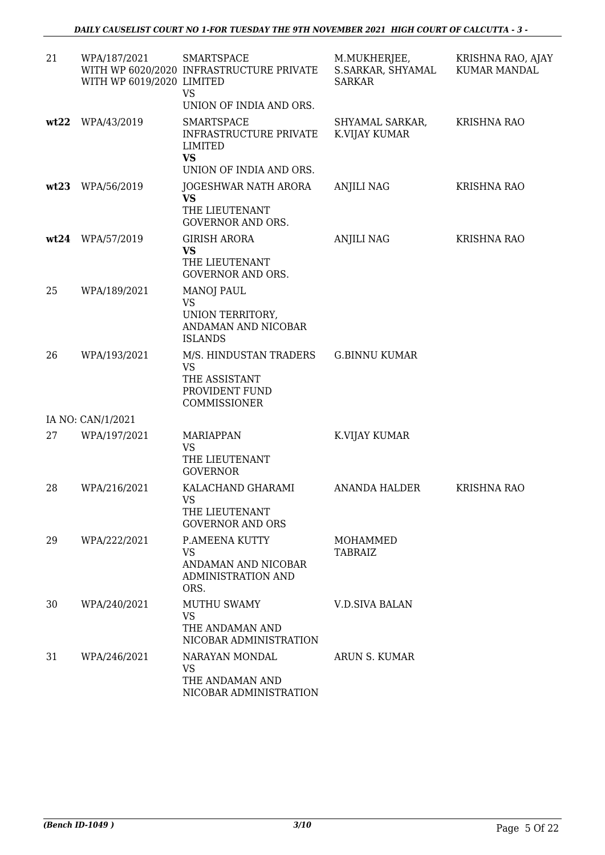| 21   | WPA/187/2021<br>WITH WP 6019/2020 LIMITED | <b>SMARTSPACE</b><br>WITH WP 6020/2020 INFRASTRUCTURE PRIVATE<br><b>VS</b><br>UNION OF INDIA AND ORS. | M.MUKHERJEE,<br>S.SARKAR, SHYAMAL<br><b>SARKAR</b> | KRISHNA RAO, AJAY<br>KUMAR MANDAL |
|------|-------------------------------------------|-------------------------------------------------------------------------------------------------------|----------------------------------------------------|-----------------------------------|
| wt22 | WPA/43/2019                               | <b>SMARTSPACE</b><br><b>INFRASTRUCTURE PRIVATE</b><br>LIMITED<br>VS<br>UNION OF INDIA AND ORS.        | SHYAMAL SARKAR,<br>K.VIJAY KUMAR                   | <b>KRISHNA RAO</b>                |
| wt23 | WPA/56/2019                               | JOGESHWAR NATH ARORA<br><b>VS</b><br>THE LIEUTENANT<br><b>GOVERNOR AND ORS.</b>                       | ANJILI NAG                                         | <b>KRISHNA RAO</b>                |
|      | wt24 WPA/57/2019                          | <b>GIRISH ARORA</b><br><b>VS</b><br>THE LIEUTENANT<br><b>GOVERNOR AND ORS.</b>                        | <b>ANJILI NAG</b>                                  | <b>KRISHNA RAO</b>                |
| 25   | WPA/189/2021                              | <b>MANOJ PAUL</b><br><b>VS</b><br>UNION TERRITORY,<br>ANDAMAN AND NICOBAR<br><b>ISLANDS</b>           |                                                    |                                   |
| 26   | WPA/193/2021                              | M/S. HINDUSTAN TRADERS<br><b>VS</b><br>THE ASSISTANT<br>PROVIDENT FUND<br>COMMISSIONER                | <b>G.BINNU KUMAR</b>                               |                                   |
|      | IA NO: CAN/1/2021                         |                                                                                                       |                                                    |                                   |
| 27   | WPA/197/2021                              | <b>MARIAPPAN</b><br><b>VS</b><br>THE LIEUTENANT<br><b>GOVERNOR</b>                                    | K.VIJAY KUMAR                                      |                                   |
| 28   | WPA/216/2021                              | KALACHAND GHARAMI<br><b>VS</b><br>THE LIEUTENANT<br><b>GOVERNOR AND ORS</b>                           | <b>ANANDA HALDER</b>                               | <b>KRISHNA RAO</b>                |
| 29   | WPA/222/2021                              | P.AMEENA KUTTY<br><b>VS</b><br>ANDAMAN AND NICOBAR<br>ADMINISTRATION AND<br>ORS.                      | MOHAMMED<br>TABRAIZ                                |                                   |
| 30   | WPA/240/2021                              | <b>MUTHU SWAMY</b><br><b>VS</b><br>THE ANDAMAN AND<br>NICOBAR ADMINISTRATION                          | <b>V.D.SIVA BALAN</b>                              |                                   |
| 31   | WPA/246/2021                              | NARAYAN MONDAL<br>VS<br>THE ANDAMAN AND<br>NICOBAR ADMINISTRATION                                     | ARUN S. KUMAR                                      |                                   |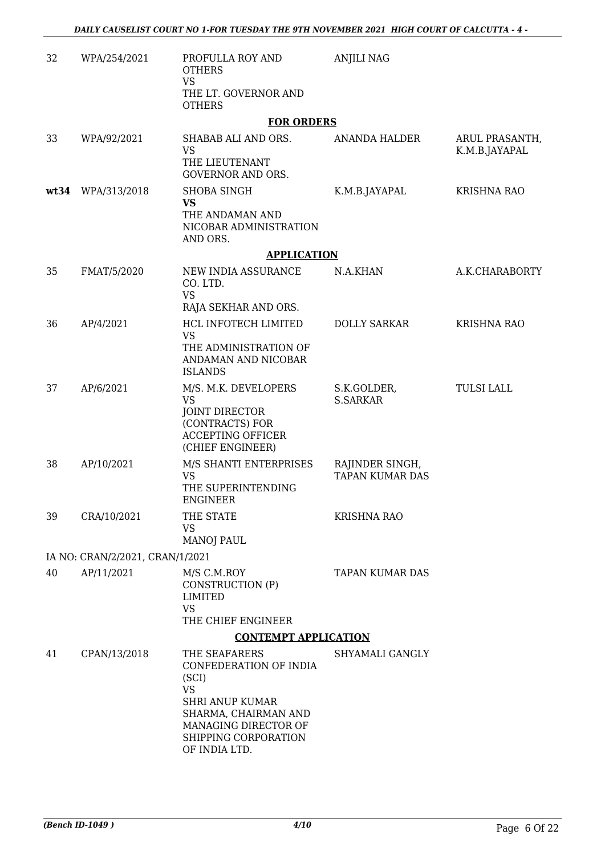| 32   | WPA/254/2021                    | PROFULLA ROY AND<br><b>OTHERS</b><br><b>VS</b><br>THE LT. GOVERNOR AND<br><b>OTHERS</b>                         | <b>ANJILI NAG</b>                         |                                 |
|------|---------------------------------|-----------------------------------------------------------------------------------------------------------------|-------------------------------------------|---------------------------------|
|      |                                 | <b>FOR ORDERS</b>                                                                                               |                                           |                                 |
| 33   | WPA/92/2021                     | SHABAB ALI AND ORS.<br><b>VS</b>                                                                                | ANANDA HALDER                             | ARUL PRASANTH,<br>K.M.B.JAYAPAL |
|      |                                 | THE LIEUTENANT<br><b>GOVERNOR AND ORS.</b>                                                                      |                                           |                                 |
| wt34 | WPA/313/2018                    | <b>SHOBA SINGH</b><br><b>VS</b>                                                                                 | K.M.B.JAYAPAL                             | <b>KRISHNA RAO</b>              |
|      |                                 | THE ANDAMAN AND<br>NICOBAR ADMINISTRATION<br>AND ORS.                                                           |                                           |                                 |
|      |                                 | <b>APPLICATION</b>                                                                                              |                                           |                                 |
| 35   | FMAT/5/2020                     | NEW INDIA ASSURANCE<br>CO. LTD.                                                                                 | N.A.KHAN                                  | A.K.CHARABORTY                  |
|      |                                 | <b>VS</b><br>RAJA SEKHAR AND ORS.                                                                               |                                           |                                 |
| 36   | AP/4/2021                       | HCL INFOTECH LIMITED<br><b>VS</b>                                                                               | <b>DOLLY SARKAR</b>                       | <b>KRISHNA RAO</b>              |
|      |                                 | THE ADMINISTRATION OF<br>ANDAMAN AND NICOBAR<br><b>ISLANDS</b>                                                  |                                           |                                 |
| 37   | AP/6/2021                       | M/S. M.K. DEVELOPERS<br><b>VS</b>                                                                               | S.K.GOLDER,<br><b>S.SARKAR</b>            | <b>TULSI LALL</b>               |
|      |                                 | JOINT DIRECTOR<br>(CONTRACTS) FOR<br><b>ACCEPTING OFFICER</b><br>(CHIEF ENGINEER)                               |                                           |                                 |
| 38   | AP/10/2021                      | M/S SHANTI ENTERPRISES<br><b>VS</b><br>THE SUPERINTENDING<br><b>ENGINEER</b>                                    | RAJINDER SINGH,<br><b>TAPAN KUMAR DAS</b> |                                 |
| 39   | CRA/10/2021                     | THE STATE<br><b>VS</b><br><b>MANOJ PAUL</b>                                                                     | <b>KRISHNA RAO</b>                        |                                 |
|      | IA NO: CRAN/2/2021, CRAN/1/2021 |                                                                                                                 |                                           |                                 |
| 40   | AP/11/2021                      | M/S C.M.ROY                                                                                                     | <b>TAPAN KUMAR DAS</b>                    |                                 |
|      |                                 | CONSTRUCTION (P)<br><b>LIMITED</b><br><b>VS</b>                                                                 |                                           |                                 |
|      |                                 | THE CHIEF ENGINEER                                                                                              |                                           |                                 |
|      |                                 | <b>CONTEMPT APPLICATION</b>                                                                                     |                                           |                                 |
| 41   | CPAN/13/2018                    | THE SEAFARERS<br>CONFEDERATION OF INDIA<br>(SCI)<br><b>VS</b><br><b>SHRI ANUP KUMAR</b><br>SHARMA, CHAIRMAN AND | SHYAMALI GANGLY                           |                                 |
|      |                                 | MANAGING DIRECTOR OF<br>SHIPPING CORPORATION<br>OF INDIA LTD.                                                   |                                           |                                 |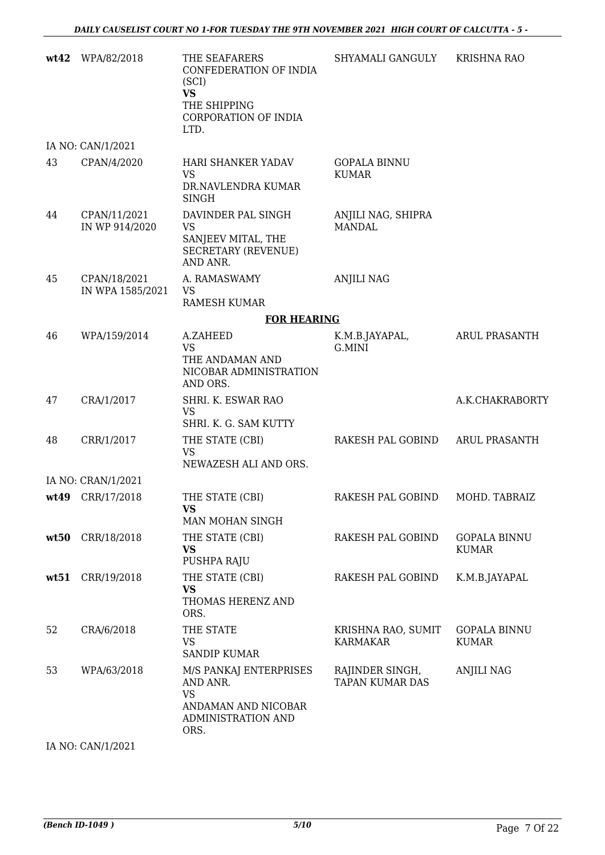| wt42 | WPA/82/2018                      | THE SEAFARERS<br>CONFEDERATION OF INDIA<br>(SCI)<br><b>VS</b><br>THE SHIPPING<br>CORPORATION OF INDIA<br>LTD. | SHYAMALI GANGULY                          | <b>KRISHNA RAO</b>                  |
|------|----------------------------------|---------------------------------------------------------------------------------------------------------------|-------------------------------------------|-------------------------------------|
|      | IA NO: CAN/1/2021                |                                                                                                               |                                           |                                     |
| 43   | CPAN/4/2020                      | <b>HARI SHANKER YADAV</b><br>VS<br>DR.NAVLENDRA KUMAR<br><b>SINGH</b>                                         | <b>GOPALA BINNU</b><br><b>KUMAR</b>       |                                     |
| 44   | CPAN/11/2021<br>IN WP 914/2020   | DAVINDER PAL SINGH<br><b>VS</b><br>SANJEEV MITAL, THE<br><b>SECRETARY (REVENUE)</b><br>AND ANR.               | ANJILI NAG, SHIPRA<br><b>MANDAL</b>       |                                     |
| 45   | CPAN/18/2021<br>IN WPA 1585/2021 | A. RAMASWAMY<br><b>VS</b><br><b>RAMESH KUMAR</b>                                                              | <b>ANJILI NAG</b>                         |                                     |
|      |                                  | <b>FOR HEARING</b>                                                                                            |                                           |                                     |
| 46   | WPA/159/2014                     | A.ZAHEED<br><b>VS</b><br>THE ANDAMAN AND<br>NICOBAR ADMINISTRATION<br>AND ORS.                                | K.M.B.JAYAPAL,<br>G.MINI                  | <b>ARUL PRASANTH</b>                |
| 47   | CRA/1/2017                       | SHRI. K. ESWAR RAO<br>VS<br>SHRI. K. G. SAM KUTTY                                                             |                                           | A.K.CHAKRABORTY                     |
| 48   | CRR/1/2017                       | THE STATE (CBI)<br><b>VS</b><br>NEWAZESH ALI AND ORS.                                                         | RAKESH PAL GOBIND                         | <b>ARUL PRASANTH</b>                |
|      | IA NO: CRAN/1/2021               |                                                                                                               |                                           |                                     |
|      | wt49 CRR/17/2018                 | THE STATE (CBI)<br>VS.<br>MAN MOHAN SINGH                                                                     | RAKESH PAL GOBIND                         | MOHD. TABRAIZ                       |
| wt50 | CRR/18/2018                      | THE STATE (CBI)<br><b>VS</b><br>PUSHPA RAJU                                                                   | RAKESH PAL GOBIND                         | <b>GOPALA BINNU</b><br><b>KUMAR</b> |
| wt51 | CRR/19/2018                      | THE STATE (CBI)<br><b>VS</b><br>THOMAS HERENZ AND<br>ORS.                                                     | RAKESH PAL GOBIND                         | K.M.B.JAYAPAL                       |
| 52   | CRA/6/2018                       | THE STATE<br>VS<br><b>SANDIP KUMAR</b>                                                                        | KRISHNA RAO, SUMIT<br>KARMAKAR            | <b>GOPALA BINNU</b><br><b>KUMAR</b> |
| 53   | WPA/63/2018                      | M/S PANKAJ ENTERPRISES<br>AND ANR.<br><b>VS</b><br>ANDAMAN AND NICOBAR<br>ADMINISTRATION AND<br>ORS.          | RAJINDER SINGH,<br><b>TAPAN KUMAR DAS</b> | ANJILI NAG                          |

IA NO: CAN/1/2021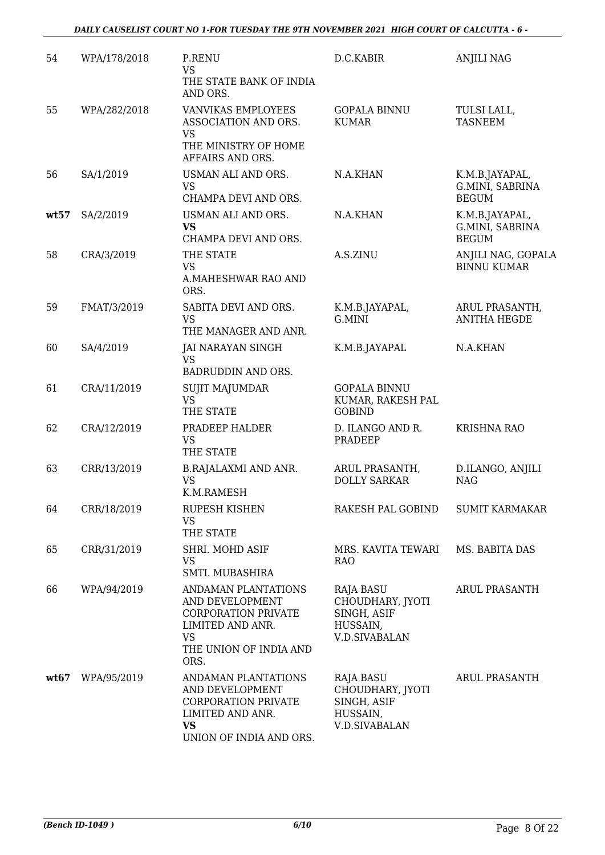| 54   | WPA/178/2018 | P.RENU<br><b>VS</b><br>THE STATE BANK OF INDIA<br>AND ORS.                                                                              | D.C.KABIR                                                                               | <b>ANJILI NAG</b>                                 |
|------|--------------|-----------------------------------------------------------------------------------------------------------------------------------------|-----------------------------------------------------------------------------------------|---------------------------------------------------|
| 55   | WPA/282/2018 | VANVIKAS EMPLOYEES<br>ASSOCIATION AND ORS.<br><b>VS</b><br>THE MINISTRY OF HOME<br>AFFAIRS AND ORS.                                     | <b>GOPALA BINNU</b><br><b>KUMAR</b>                                                     | TULSI LALL,<br><b>TASNEEM</b>                     |
| 56   | SA/1/2019    | USMAN ALI AND ORS.<br><b>VS</b><br>CHAMPA DEVI AND ORS.                                                                                 | N.A.KHAN                                                                                | K.M.B.JAYAPAL,<br>G.MINI, SABRINA<br><b>BEGUM</b> |
| wt57 | SA/2/2019    | USMAN ALI AND ORS.<br><b>VS</b><br>CHAMPA DEVI AND ORS.                                                                                 | N.A.KHAN                                                                                | K.M.B.JAYAPAL,<br>G.MINI, SABRINA<br><b>BEGUM</b> |
| 58   | CRA/3/2019   | THE STATE<br><b>VS</b><br>A.MAHESHWAR RAO AND<br>ORS.                                                                                   | A.S.ZINU                                                                                | ANJILI NAG, GOPALA<br><b>BINNU KUMAR</b>          |
| 59   | FMAT/3/2019  | SABITA DEVI AND ORS.<br><b>VS</b><br>THE MANAGER AND ANR.                                                                               | K.M.B.JAYAPAL,<br>G.MINI                                                                | ARUL PRASANTH,<br><b>ANITHA HEGDE</b>             |
| 60   | SA/4/2019    | <b>JAI NARAYAN SINGH</b><br><b>VS</b><br><b>BADRUDDIN AND ORS.</b>                                                                      | K.M.B.JAYAPAL                                                                           | N.A.KHAN                                          |
| 61   | CRA/11/2019  | <b>SUJIT MAJUMDAR</b><br><b>VS</b><br>THE STATE                                                                                         | <b>GOPALA BINNU</b><br>KUMAR, RAKESH PAL<br><b>GOBIND</b>                               |                                                   |
| 62   | CRA/12/2019  | PRADEEP HALDER<br><b>VS</b><br>THE STATE                                                                                                | D. ILANGO AND R.<br>PRADEEP                                                             | KRISHNA RAO                                       |
| 63   | CRR/13/2019  | B.RAJALAXMI AND ANR.<br><b>VS</b><br>K.M.RAMESH                                                                                         | ARUL PRASANTH,<br><b>DOLLY SARKAR</b>                                                   | D.ILANGO, ANJILI<br><b>NAG</b>                    |
| 64   | CRR/18/2019  | RUPESH KISHEN<br><b>VS</b><br>THE STATE                                                                                                 | RAKESH PAL GOBIND                                                                       | <b>SUMIT KARMAKAR</b>                             |
| 65   | CRR/31/2019  | SHRI. MOHD ASIF<br><b>VS</b><br>SMTI. MUBASHIRA                                                                                         | MRS. KAVITA TEWARI<br><b>RAO</b>                                                        | MS. BABITA DAS                                    |
| 66   | WPA/94/2019  | ANDAMAN PLANTATIONS<br>AND DEVELOPMENT<br><b>CORPORATION PRIVATE</b><br>LIMITED AND ANR.<br><b>VS</b><br>THE UNION OF INDIA AND<br>ORS. | <b>RAJA BASU</b><br>CHOUDHARY, JYOTI<br>SINGH, ASIF<br>HUSSAIN,<br><b>V.D.SIVABALAN</b> | <b>ARUL PRASANTH</b>                              |
| wt67 | WPA/95/2019  | ANDAMAN PLANTATIONS<br>AND DEVELOPMENT<br><b>CORPORATION PRIVATE</b><br>LIMITED AND ANR.<br><b>VS</b><br>UNION OF INDIA AND ORS.        | <b>RAJA BASU</b><br>CHOUDHARY, JYOTI<br>SINGH, ASIF<br>HUSSAIN,<br>V.D.SIVABALAN        | <b>ARUL PRASANTH</b>                              |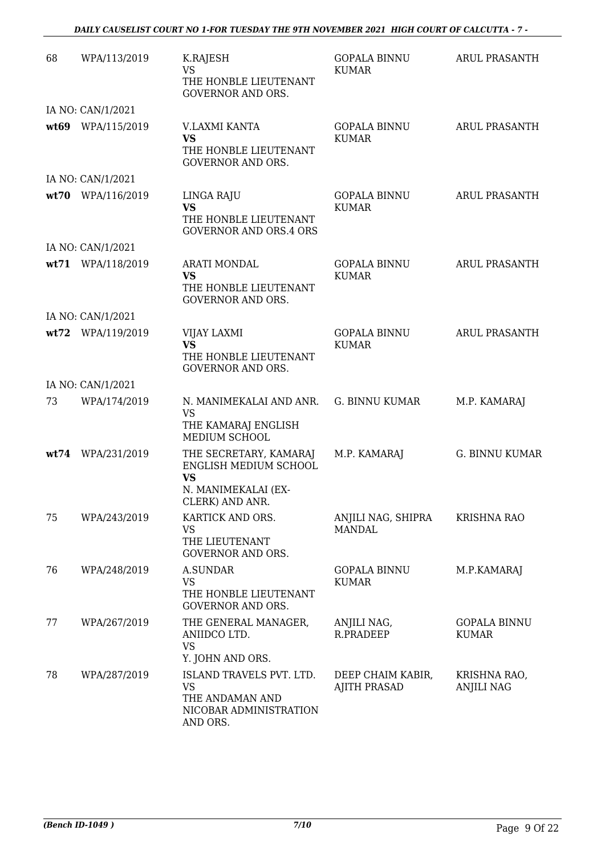#### *DAILY CAUSELIST COURT NO 1-FOR TUESDAY THE 9TH NOVEMBER 2021 HIGH COURT OF CALCUTTA - 7 -*

| 68   | WPA/113/2019      | K.RAJESH<br><b>VS</b><br>THE HONBLE LIEUTENANT<br><b>GOVERNOR AND ORS.</b>              | <b>GOPALA BINNU</b><br><b>KUMAR</b>      | ARUL PRASANTH                       |
|------|-------------------|-----------------------------------------------------------------------------------------|------------------------------------------|-------------------------------------|
|      | IA NO: CAN/1/2021 |                                                                                         |                                          |                                     |
|      | wt69 WPA/115/2019 | V.LAXMI KANTA<br>VS<br>THE HONBLE LIEUTENANT<br><b>GOVERNOR AND ORS.</b>                | <b>GOPALA BINNU</b><br><b>KUMAR</b>      | ARUL PRASANTH                       |
|      | IA NO: CAN/1/2021 |                                                                                         |                                          |                                     |
| wt70 | WPA/116/2019      | LINGA RAJU<br><b>VS</b><br>THE HONBLE LIEUTENANT<br><b>GOVERNOR AND ORS.4 ORS</b>       | <b>GOPALA BINNU</b><br><b>KUMAR</b>      | <b>ARUL PRASANTH</b>                |
|      | IA NO: CAN/1/2021 |                                                                                         |                                          |                                     |
|      | wt71 WPA/118/2019 | <b>ARATI MONDAL</b><br><b>VS</b><br>THE HONBLE LIEUTENANT<br><b>GOVERNOR AND ORS.</b>   | <b>GOPALA BINNU</b><br><b>KUMAR</b>      | ARUL PRASANTH                       |
|      | IA NO: CAN/1/2021 |                                                                                         |                                          |                                     |
|      | wt72 WPA/119/2019 | VIJAY LAXMI<br><b>VS</b><br>THE HONBLE LIEUTENANT<br><b>GOVERNOR AND ORS.</b>           | <b>GOPALA BINNU</b><br><b>KUMAR</b>      | ARUL PRASANTH                       |
|      | IA NO: CAN/1/2021 |                                                                                         |                                          |                                     |
| 73   | WPA/174/2019      | N. MANIMEKALAI AND ANR.<br><b>VS</b>                                                    | <b>G. BINNU KUMAR</b>                    | M.P. KAMARAJ                        |
|      |                   | THE KAMARAJ ENGLISH<br>MEDIUM SCHOOL                                                    |                                          |                                     |
|      | wt74 WPA/231/2019 | THE SECRETARY, KAMARAJ<br>ENGLISH MEDIUM SCHOOL<br><b>VS</b><br>N. MANIMEKALAI (EX-     | M.P. KAMARAJ                             | <b>G. BINNU KUMAR</b>               |
| 75   | WPA/243/2019      | CLERK) AND ANR.<br>KARTICK AND ORS.                                                     | ANJILI NAG, SHIPRA                       | <b>KRISHNA RAO</b>                  |
|      |                   | <b>VS</b><br>THE LIEUTENANT<br><b>GOVERNOR AND ORS.</b>                                 | <b>MANDAL</b>                            |                                     |
| 76   | WPA/248/2019      | <b>A.SUNDAR</b><br><b>VS</b><br>THE HONBLE LIEUTENANT<br><b>GOVERNOR AND ORS.</b>       | <b>GOPALA BINNU</b><br><b>KUMAR</b>      | M.P.KAMARAJ                         |
| 77   | WPA/267/2019      | THE GENERAL MANAGER,<br>ANIIDCO LTD.<br><b>VS</b><br>Y. JOHN AND ORS.                   | ANJILI NAG,<br>R.PRADEEP                 | <b>GOPALA BINNU</b><br><b>KUMAR</b> |
| 78   | WPA/287/2019      | ISLAND TRAVELS PVT. LTD.<br>VS<br>THE ANDAMAN AND<br>NICOBAR ADMINISTRATION<br>AND ORS. | DEEP CHAIM KABIR,<br><b>AJITH PRASAD</b> | KRISHNA RAO,<br><b>ANJILI NAG</b>   |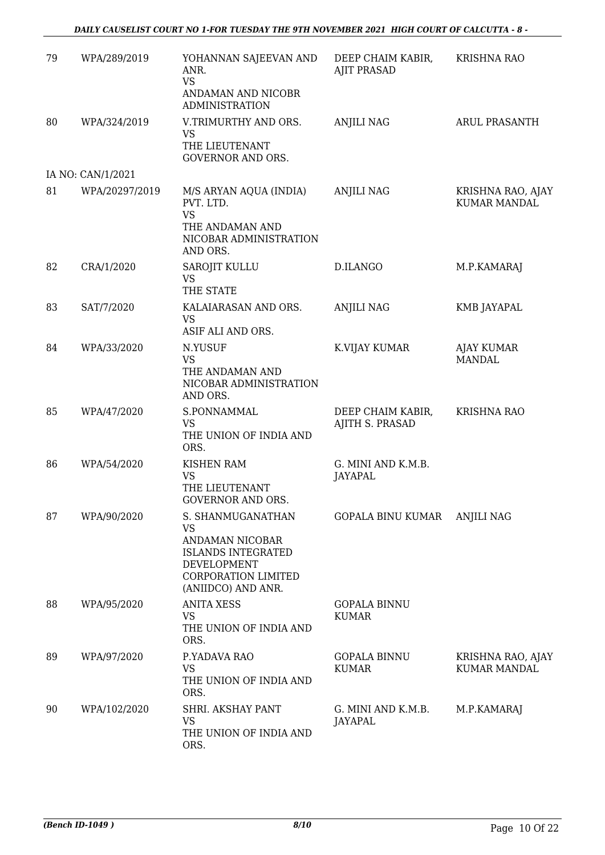#### *DAILY CAUSELIST COURT NO 1-FOR TUESDAY THE 9TH NOVEMBER 2021 HIGH COURT OF CALCUTTA - 8 -*

| 79 | WPA/289/2019      | YOHANNAN SAJEEVAN AND<br>ANR.<br><b>VS</b><br>ANDAMAN AND NICOBR<br><b>ADMINISTRATION</b>                                                  | DEEP CHAIM KABIR,<br><b>AJIT PRASAD</b> | <b>KRISHNA RAO</b>                       |
|----|-------------------|--------------------------------------------------------------------------------------------------------------------------------------------|-----------------------------------------|------------------------------------------|
| 80 | WPA/324/2019      | V.TRIMURTHY AND ORS.<br><b>VS</b><br>THE LIEUTENANT                                                                                        | <b>ANJILI NAG</b>                       | <b>ARUL PRASANTH</b>                     |
|    | IA NO: CAN/1/2021 | <b>GOVERNOR AND ORS.</b>                                                                                                                   |                                         |                                          |
| 81 | WPA/20297/2019    | M/S ARYAN AQUA (INDIA)<br>PVT. LTD.<br><b>VS</b><br>THE ANDAMAN AND<br>NICOBAR ADMINISTRATION<br>AND ORS.                                  | <b>ANJILI NAG</b>                       | KRISHNA RAO, AJAY<br><b>KUMAR MANDAL</b> |
| 82 | CRA/1/2020        | SAROJIT KULLU<br><b>VS</b><br>THE STATE                                                                                                    | D.ILANGO                                | M.P.KAMARAJ                              |
| 83 | SAT/7/2020        | KALAIARASAN AND ORS.<br><b>VS</b><br>ASIF ALI AND ORS.                                                                                     | <b>ANJILI NAG</b>                       | KMB JAYAPAL                              |
| 84 | WPA/33/2020       | N.YUSUF<br><b>VS</b><br>THE ANDAMAN AND<br>NICOBAR ADMINISTRATION<br>AND ORS.                                                              | K.VIJAY KUMAR                           | <b>AJAY KUMAR</b><br><b>MANDAL</b>       |
| 85 | WPA/47/2020       | S.PONNAMMAL<br><b>VS</b><br>THE UNION OF INDIA AND<br>ORS.                                                                                 | DEEP CHAIM KABIR,<br>AJITH S. PRASAD    | <b>KRISHNA RAO</b>                       |
| 86 | WPA/54/2020       | <b>KISHEN RAM</b><br><b>VS</b><br>THE LIEUTENANT<br><b>GOVERNOR AND ORS</b>                                                                | G. MINI AND K.M.B.<br><b>JAYAPAL</b>    |                                          |
| 87 | WPA/90/2020       | S. SHANMUGANATHAN<br><b>VS</b><br>ANDAMAN NICOBAR<br><b>ISLANDS INTEGRATED</b><br>DEVELOPMENT<br>CORPORATION LIMITED<br>(ANIIDCO) AND ANR. | GOPALA BINU KUMAR                       | <b>ANJILI NAG</b>                        |
| 88 | WPA/95/2020       | <b>ANITA XESS</b><br><b>VS</b><br>THE UNION OF INDIA AND<br>ORS.                                                                           | <b>GOPALA BINNU</b><br><b>KUMAR</b>     |                                          |
| 89 | WPA/97/2020       | P.YADAVA RAO<br><b>VS</b><br>THE UNION OF INDIA AND<br>ORS.                                                                                | <b>GOPALA BINNU</b><br><b>KUMAR</b>     | KRISHNA RAO, AJAY<br><b>KUMAR MANDAL</b> |
| 90 | WPA/102/2020      | SHRI. AKSHAY PANT<br><b>VS</b><br>THE UNION OF INDIA AND<br>ORS.                                                                           | G. MINI AND K.M.B.<br><b>JAYAPAL</b>    | M.P.KAMARAJ                              |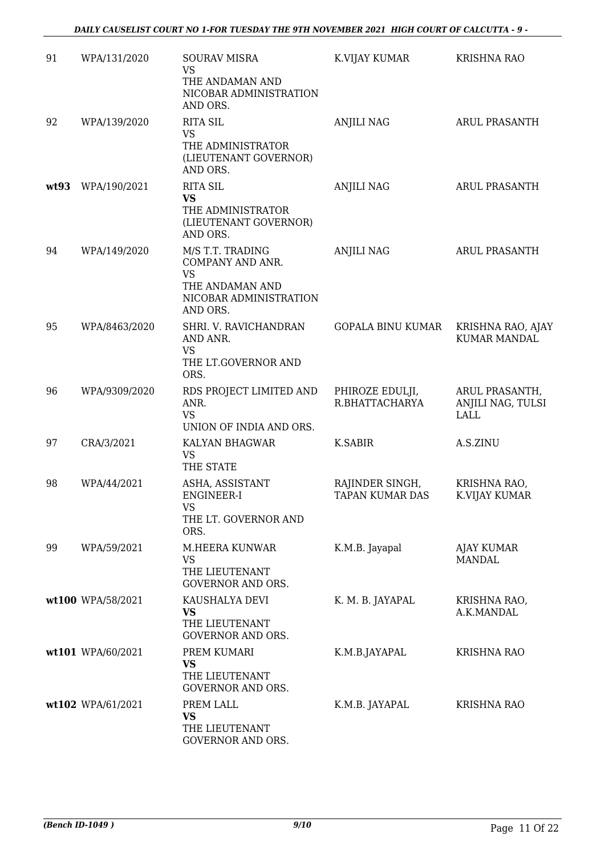| 91   | WPA/131/2020      | <b>SOURAV MISRA</b><br>VS<br>THE ANDAMAN AND<br>NICOBAR ADMINISTRATION                             | K.VIJAY KUMAR                      | <b>KRISHNA RAO</b>                          |
|------|-------------------|----------------------------------------------------------------------------------------------------|------------------------------------|---------------------------------------------|
| 92   | WPA/139/2020      | AND ORS.<br><b>RITA SIL</b><br><b>VS</b><br>THE ADMINISTRATOR<br>(LIEUTENANT GOVERNOR)             | <b>ANJILI NAG</b>                  | <b>ARUL PRASANTH</b>                        |
| wt93 | WPA/190/2021      | AND ORS.<br><b>RITA SIL</b><br><b>VS</b><br>THE ADMINISTRATOR<br>(LIEUTENANT GOVERNOR)<br>AND ORS. | <b>ANJILI NAG</b>                  | <b>ARUL PRASANTH</b>                        |
| 94   | WPA/149/2020      | M/S T.T. TRADING<br>COMPANY AND ANR.<br><b>VS</b><br>THE ANDAMAN AND<br>NICOBAR ADMINISTRATION     | <b>ANJILI NAG</b>                  | ARUL PRASANTH                               |
| 95   | WPA/8463/2020     | AND ORS.<br>SHRI. V. RAVICHANDRAN<br>AND ANR.<br><b>VS</b><br>THE LT.GOVERNOR AND<br>ORS.          | <b>GOPALA BINU KUMAR</b>           | KRISHNA RAO, AJAY<br><b>KUMAR MANDAL</b>    |
| 96   | WPA/9309/2020     | RDS PROJECT LIMITED AND<br>ANR.<br><b>VS</b><br>UNION OF INDIA AND ORS.                            | PHIROZE EDULJI,<br>R.BHATTACHARYA  | ARUL PRASANTH,<br>ANJILI NAG, TULSI<br>LALL |
| 97   | CRA/3/2021        | KALYAN BHAGWAR<br><b>VS</b><br>THE STATE                                                           | K.SABIR                            | A.S.ZINU                                    |
| 98   | WPA/44/2021       | ASHA, ASSISTANT<br>ENGINEER-I<br><b>VS</b><br>THE LT. GOVERNOR AND<br>ORS.                         | RAJINDER SINGH,<br>TAPAN KUMAR DAS | KRISHNA RAO,<br>K.VIJAY KUMAR               |
| 99   | WPA/59/2021       | M.HEERA KUNWAR<br><b>VS</b><br>THE LIEUTENANT<br><b>GOVERNOR AND ORS.</b>                          | K.M.B. Jayapal                     | AJAY KUMAR<br><b>MANDAL</b>                 |
|      | wt100 WPA/58/2021 | KAUSHALYA DEVI<br>VS<br>THE LIEUTENANT<br><b>GOVERNOR AND ORS.</b>                                 | K. M. B. JAYAPAL                   | KRISHNA RAO,<br>A.K.MANDAL                  |
|      | wt101 WPA/60/2021 | PREM KUMARI<br><b>VS</b><br>THE LIEUTENANT<br><b>GOVERNOR AND ORS.</b>                             | K.M.B.JAYAPAL                      | <b>KRISHNA RAO</b>                          |
|      | wt102 WPA/61/2021 | PREM LALL<br><b>VS</b><br>THE LIEUTENANT<br>GOVERNOR AND ORS.                                      | K.M.B. JAYAPAL                     | <b>KRISHNA RAO</b>                          |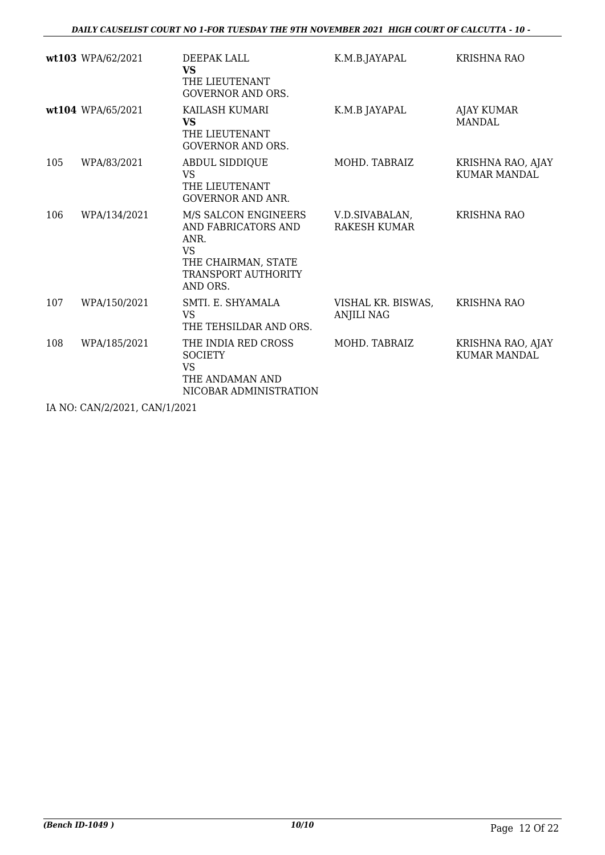|     | wt103 WPA/62/2021 | DEEPAK LALL<br><b>VS</b><br>THE LIEUTENANT<br><b>GOVERNOR AND ORS.</b>                                                            | K.M.B.JAYAPAL                           | <b>KRISHNA RAO</b>                       |
|-----|-------------------|-----------------------------------------------------------------------------------------------------------------------------------|-----------------------------------------|------------------------------------------|
|     | wt104 WPA/65/2021 | KAILASH KUMARI<br><b>VS</b><br>THE LIEUTENANT<br><b>GOVERNOR AND ORS.</b>                                                         | K.M.B JAYAPAL                           | <b>AJAY KUMAR</b><br><b>MANDAL</b>       |
| 105 | WPA/83/2021       | <b>ABDUL SIDDIQUE</b><br><b>VS</b><br>THE LIEUTENANT<br><b>GOVERNOR AND ANR.</b>                                                  | MOHD. TABRAIZ                           | KRISHNA RAO, AJAY<br><b>KUMAR MANDAL</b> |
| 106 | WPA/134/2021      | M/S SALCON ENGINEERS<br>AND FABRICATORS AND<br>ANR.<br><b>VS</b><br>THE CHAIRMAN, STATE<br><b>TRANSPORT AUTHORITY</b><br>AND ORS. | V.D.SIVABALAN,<br>RAKESH KUMAR          | <b>KRISHNA RAO</b>                       |
| 107 | WPA/150/2021      | SMTI. E. SHYAMALA<br><b>VS</b><br>THE TEHSILDAR AND ORS.                                                                          | VISHAL KR. BISWAS,<br><b>ANJILI NAG</b> | <b>KRISHNA RAO</b>                       |
| 108 | WPA/185/2021      | THE INDIA RED CROSS<br><b>SOCIETY</b><br>VS<br>THE ANDAMAN AND<br>NICOBAR ADMINISTRATION                                          | MOHD. TABRAIZ                           | KRISHNA RAO, AJAY<br><b>KUMAR MANDAL</b> |

IA NO: CAN/2/2021, CAN/1/2021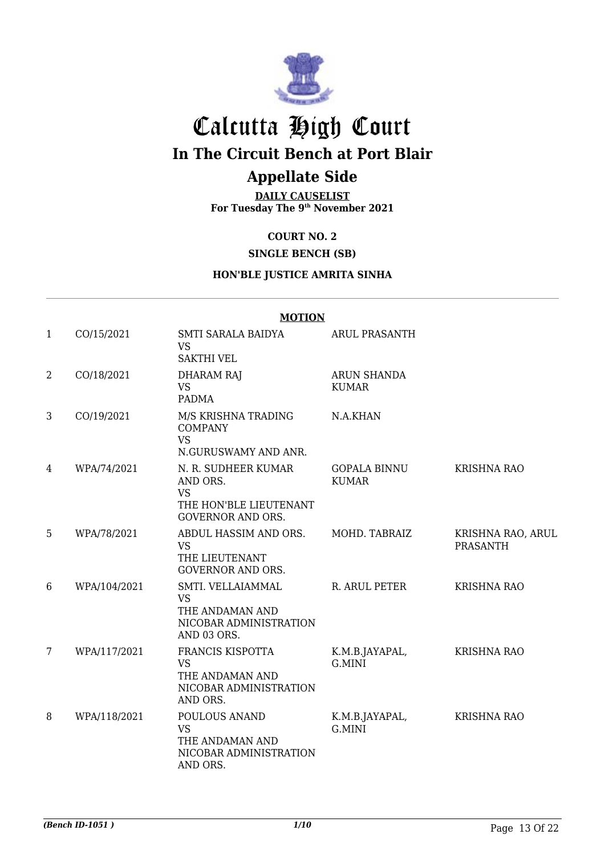

## Calcutta High Court **In The Circuit Bench at Port Blair**

### **Appellate Side**

**DAILY CAUSELIST For Tuesday The 9th November 2021**

**COURT NO. 2**

**SINGLE BENCH (SB)**

#### **HON'BLE JUSTICE AMRITA SINHA**

#### **MOTION**

| $\mathbf{1}$    | CO/15/2021   | SMTI SARALA BAIDYA<br><b>VS</b><br><b>SAKTHI VEL</b>                                               | <b>ARUL PRASANTH</b>                |                                      |
|-----------------|--------------|----------------------------------------------------------------------------------------------------|-------------------------------------|--------------------------------------|
| $\overline{2}$  | CO/18/2021   | <b>DHARAM RAJ</b><br><b>VS</b><br><b>PADMA</b>                                                     | ARUN SHANDA<br><b>KUMAR</b>         |                                      |
| 3               | CO/19/2021   | M/S KRISHNA TRADING<br><b>COMPANY</b><br><b>VS</b><br>N.GURUSWAMY AND ANR.                         | N.A.KHAN                            |                                      |
| 4               | WPA/74/2021  | N. R. SUDHEER KUMAR<br>AND ORS.<br><b>VS</b><br>THE HON'BLE LIEUTENANT<br><b>GOVERNOR AND ORS.</b> | <b>GOPALA BINNU</b><br><b>KUMAR</b> | <b>KRISHNA RAO</b>                   |
| 5               | WPA/78/2021  | ABDUL HASSIM AND ORS.<br><b>VS</b><br>THE LIEUTENANT<br><b>GOVERNOR AND ORS.</b>                   | MOHD. TABRAIZ                       | KRISHNA RAO, ARUL<br><b>PRASANTH</b> |
| 6               | WPA/104/2021 | SMTI. VELLAIAMMAL<br><b>VS</b><br>THE ANDAMAN AND<br>NICOBAR ADMINISTRATION<br>AND 03 ORS.         | R. ARUL PETER                       | <b>KRISHNA RAO</b>                   |
| $7\overline{ }$ | WPA/117/2021 | FRANCIS KISPOTTA<br><b>VS</b><br>THE ANDAMAN AND<br>NICOBAR ADMINISTRATION<br>AND ORS.             | K.M.B.JAYAPAL,<br>G.MINI            | <b>KRISHNA RAO</b>                   |
| 8               | WPA/118/2021 | POULOUS ANAND<br><b>VS</b><br>THE ANDAMAN AND<br>NICOBAR ADMINISTRATION<br>AND ORS.                | K.M.B.JAYAPAL,<br>G.MINI            | KRISHNA RAO                          |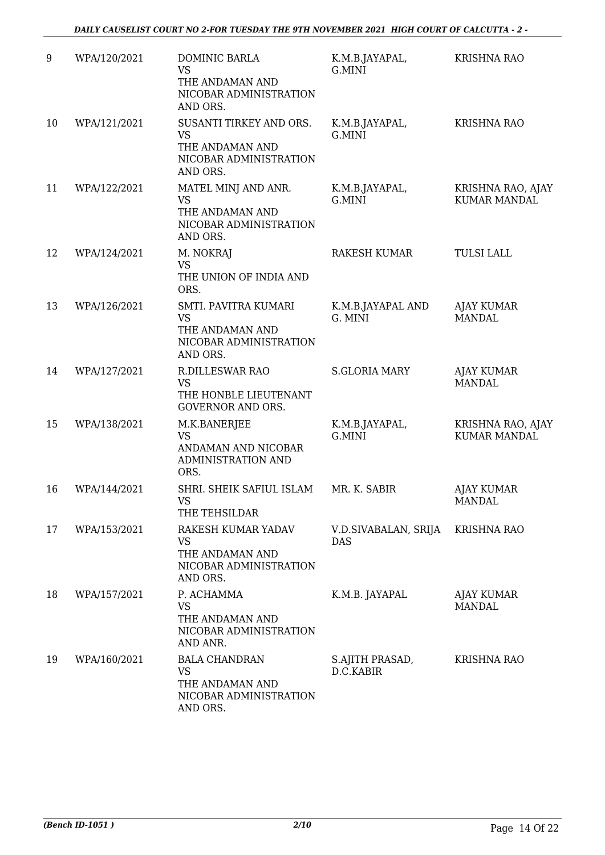| 9  | WPA/120/2021 | <b>DOMINIC BARLA</b><br><b>VS</b><br>THE ANDAMAN AND                                          | K.M.B.JAYAPAL,<br>G.MINI     | <b>KRISHNA RAO</b>                       |
|----|--------------|-----------------------------------------------------------------------------------------------|------------------------------|------------------------------------------|
|    |              | NICOBAR ADMINISTRATION<br>AND ORS.                                                            |                              |                                          |
| 10 | WPA/121/2021 | SUSANTI TIRKEY AND ORS.<br><b>VS</b><br>THE ANDAMAN AND<br>NICOBAR ADMINISTRATION<br>AND ORS. | K.M.B.JAYAPAL,<br>G.MINI     | <b>KRISHNA RAO</b>                       |
| 11 | WPA/122/2021 | MATEL MINJ AND ANR.<br><b>VS</b><br>THE ANDAMAN AND<br>NICOBAR ADMINISTRATION<br>AND ORS.     | K.M.B.JAYAPAL,<br>G.MINI     | KRISHNA RAO, AJAY<br><b>KUMAR MANDAL</b> |
| 12 | WPA/124/2021 | M. NOKRAJ<br><b>VS</b><br>THE UNION OF INDIA AND<br>ORS.                                      | <b>RAKESH KUMAR</b>          | <b>TULSI LALL</b>                        |
| 13 | WPA/126/2021 | SMTI. PAVITRA KUMARI<br><b>VS</b><br>THE ANDAMAN AND<br>NICOBAR ADMINISTRATION<br>AND ORS.    | K.M.B.JAYAPAL AND<br>G. MINI | <b>AJAY KUMAR</b><br><b>MANDAL</b>       |
| 14 | WPA/127/2021 | <b>R.DILLESWAR RAO</b><br><b>VS</b><br>THE HONBLE LIEUTENANT<br><b>GOVERNOR AND ORS.</b>      | <b>S.GLORIA MARY</b>         | <b>AJAY KUMAR</b><br><b>MANDAL</b>       |
| 15 | WPA/138/2021 | M.K.BANERJEE<br><b>VS</b><br>ANDAMAN AND NICOBAR<br><b>ADMINISTRATION AND</b><br>ORS.         | K.M.B.JAYAPAL,<br>G.MINI     | KRISHNA RAO, AJAY<br><b>KUMAR MANDAL</b> |
| 16 | WPA/144/2021 | SHRI. SHEIK SAFIUL ISLAM<br><b>VS</b><br>THE TEHSILDAR                                        | MR. K. SABIR                 | <b>AJAY KUMAR</b><br>MANDAL              |
| 17 | WPA/153/2021 | RAKESH KUMAR YADAV<br><b>VS</b><br>THE ANDAMAN AND<br>NICOBAR ADMINISTRATION<br>AND ORS.      | V.D.SIVABALAN, SRIJA<br>DAS  | <b>KRISHNA RAO</b>                       |
| 18 | WPA/157/2021 | P. ACHAMMA<br><b>VS</b><br>THE ANDAMAN AND<br>NICOBAR ADMINISTRATION<br>AND ANR.              | K.M.B. JAYAPAL               | <b>AJAY KUMAR</b><br><b>MANDAL</b>       |
| 19 | WPA/160/2021 | <b>BALA CHANDRAN</b><br><b>VS</b><br>THE ANDAMAN AND<br>NICOBAR ADMINISTRATION<br>AND ORS.    | S.AJITH PRASAD,<br>D.C.KABIR | <b>KRISHNA RAO</b>                       |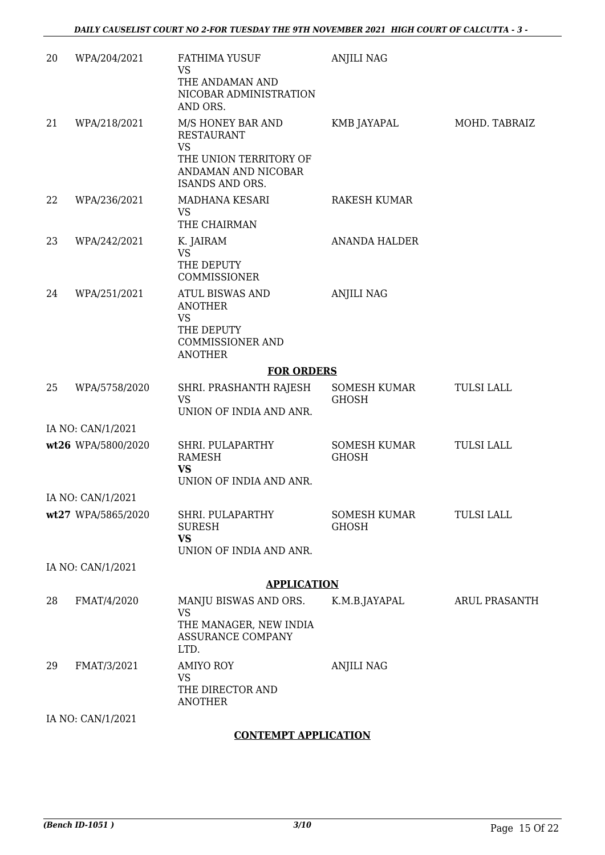| 20 | WPA/204/2021                            | <b>FATHIMA YUSUF</b><br><b>VS</b>                                       | <b>ANJILI NAG</b>                   |                      |
|----|-----------------------------------------|-------------------------------------------------------------------------|-------------------------------------|----------------------|
|    |                                         | THE ANDAMAN AND<br>NICOBAR ADMINISTRATION<br>AND ORS.                   |                                     |                      |
| 21 | WPA/218/2021                            | M/S HONEY BAR AND<br><b>RESTAURANT</b><br>VS                            | KMB JAYAPAL                         | MOHD. TABRAIZ        |
|    |                                         | THE UNION TERRITORY OF<br>ANDAMAN AND NICOBAR<br>ISANDS AND ORS.        |                                     |                      |
| 22 | WPA/236/2021                            | MADHANA KESARI<br><b>VS</b><br>THE CHAIRMAN                             | RAKESH KUMAR                        |                      |
| 23 | WPA/242/2021                            | K. JAIRAM<br><b>VS</b><br>THE DEPUTY<br>COMMISSIONER                    | <b>ANANDA HALDER</b>                |                      |
| 24 | WPA/251/2021                            | <b>ATUL BISWAS AND</b><br><b>ANOTHER</b><br><b>VS</b>                   | <b>ANJILI NAG</b>                   |                      |
|    |                                         | THE DEPUTY<br><b>COMMISSIONER AND</b><br><b>ANOTHER</b>                 |                                     |                      |
|    |                                         | <b>FOR ORDERS</b>                                                       |                                     |                      |
| 25 | WPA/5758/2020                           | SHRI. PRASHANTH RAJESH<br><b>VS</b><br>UNION OF INDIA AND ANR.          | SOMESH KUMAR<br><b>GHOSH</b>        | <b>TULSI LALL</b>    |
|    | IA NO: CAN/1/2021                       |                                                                         |                                     |                      |
|    | wt26 WPA/5800/2020                      | SHRI. PULAPARTHY<br><b>RAMESH</b><br><b>VS</b>                          | <b>SOMESH KUMAR</b><br><b>GHOSH</b> | <b>TULSI LALL</b>    |
|    |                                         | UNION OF INDIA AND ANR.                                                 |                                     |                      |
|    | IA NO: CAN/1/2021<br>wt27 WPA/5865/2020 | SHRI. PULAPARTHY                                                        | SOMESH KUMAR                        | <b>TULSI LALL</b>    |
|    |                                         | <b>SURESH</b><br><b>VS</b><br>UNION OF INDIA AND ANR.                   | <b>GHOSH</b>                        |                      |
|    | IA NO: CAN/1/2021                       |                                                                         |                                     |                      |
|    |                                         | <b>APPLICATION</b>                                                      |                                     |                      |
| 28 | FMAT/4/2020                             | MANJU BISWAS AND ORS.                                                   | K.M.B.JAYAPAL                       | <b>ARUL PRASANTH</b> |
|    |                                         | <b>VS</b><br>THE MANAGER, NEW INDIA<br><b>ASSURANCE COMPANY</b><br>LTD. |                                     |                      |
| 29 | FMAT/3/2021                             | <b>AMIYO ROY</b><br><b>VS</b><br>THE DIRECTOR AND<br><b>ANOTHER</b>     | <b>ANJILI NAG</b>                   |                      |
|    | IA NO: CAN/1/2021                       |                                                                         |                                     |                      |
|    |                                         | <b>CONTEMPT APPLICATION</b>                                             |                                     |                      |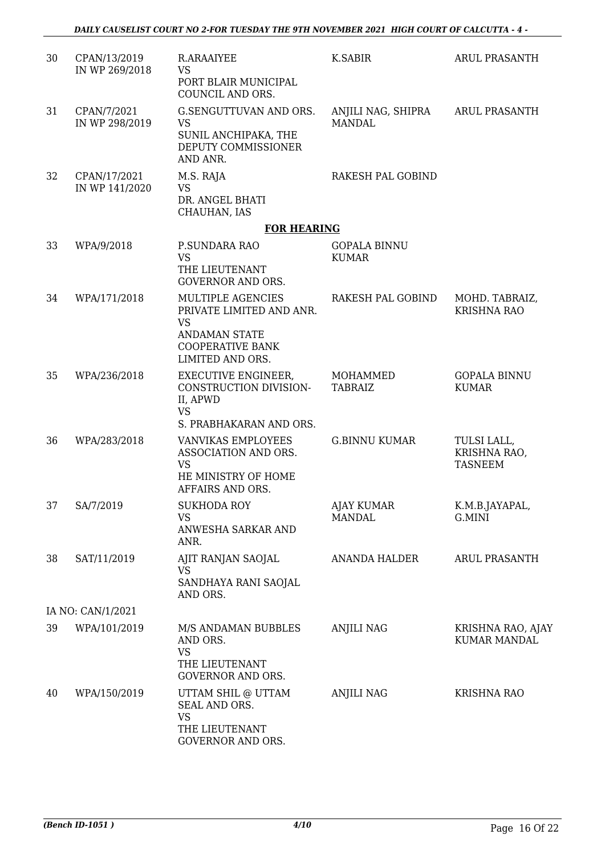| 30 | CPAN/13/2019<br>IN WP 269/2018 | R.ARAAIYEE<br><b>VS</b>                                                        | K.SABIR                             | <b>ARUL PRASANTH</b>                          |
|----|--------------------------------|--------------------------------------------------------------------------------|-------------------------------------|-----------------------------------------------|
|    |                                | PORT BLAIR MUNICIPAL<br>COUNCIL AND ORS.                                       |                                     |                                               |
| 31 | CPAN/7/2021<br>IN WP 298/2019  | G.SENGUTTUVAN AND ORS.<br><b>VS</b>                                            | ANJILI NAG, SHIPRA<br><b>MANDAL</b> | <b>ARUL PRASANTH</b>                          |
|    |                                | SUNIL ANCHIPAKA, THE<br>DEPUTY COMMISSIONER<br>AND ANR.                        |                                     |                                               |
| 32 | CPAN/17/2021<br>IN WP 141/2020 | M.S. RAJA<br><b>VS</b>                                                         | RAKESH PAL GOBIND                   |                                               |
|    |                                | DR. ANGEL BHATI<br>CHAUHAN, IAS                                                |                                     |                                               |
|    |                                | <b>FOR HEARING</b>                                                             |                                     |                                               |
| 33 | WPA/9/2018                     | P.SUNDARA RAO<br><b>VS</b><br>THE LIEUTENANT<br><b>GOVERNOR AND ORS.</b>       | <b>GOPALA BINNU</b><br><b>KUMAR</b> |                                               |
| 34 | WPA/171/2018                   | MULTIPLE AGENCIES<br>PRIVATE LIMITED AND ANR.<br><b>VS</b>                     | RAKESH PAL GOBIND                   | MOHD. TABRAIZ,<br><b>KRISHNA RAO</b>          |
|    |                                | <b>ANDAMAN STATE</b><br><b>COOPERATIVE BANK</b><br>LIMITED AND ORS.            |                                     |                                               |
| 35 | WPA/236/2018                   | <b>EXECUTIVE ENGINEER,</b><br>CONSTRUCTION DIVISION-<br>II, APWD<br><b>VS</b>  | MOHAMMED<br><b>TABRAIZ</b>          | <b>GOPALA BINNU</b><br><b>KUMAR</b>           |
|    |                                | S. PRABHAKARAN AND ORS.                                                        |                                     |                                               |
| 36 | WPA/283/2018                   | VANVIKAS EMPLOYEES<br>ASSOCIATION AND ORS.<br><b>VS</b><br>HE MINISTRY OF HOME | <b>G.BINNU KUMAR</b>                | TULSI LALL,<br>KRISHNA RAO,<br><b>TASNEEM</b> |
|    |                                | AFFAIRS AND ORS.                                                               |                                     |                                               |
| 37 | SA/7/2019                      | <b>SUKHODA ROY</b><br><b>VS</b><br>ANWESHA SARKAR AND<br>ANR.                  | AJAY KUMAR<br><b>MANDAL</b>         | K.M.B.JAYAPAL,<br>G.MINI                      |
| 38 | SAT/11/2019                    | AJIT RANJAN SAOJAL<br>VS<br>SANDHAYA RANI SAOJAL                               | ANANDA HALDER                       | <b>ARUL PRASANTH</b>                          |
|    | IA NO: CAN/1/2021              | AND ORS.                                                                       |                                     |                                               |
| 39 | WPA/101/2019                   | M/S ANDAMAN BUBBLES                                                            | <b>ANJILI NAG</b>                   | KRISHNA RAO, AJAY                             |
|    |                                | AND ORS.<br><b>VS</b><br>THE LIEUTENANT<br>GOVERNOR AND ORS.                   |                                     | <b>KUMAR MANDAL</b>                           |
| 40 | WPA/150/2019                   | UTTAM SHIL @ UTTAM<br>SEAL AND ORS.<br><b>VS</b>                               | <b>ANJILI NAG</b>                   | <b>KRISHNA RAO</b>                            |
|    |                                | THE LIEUTENANT<br>GOVERNOR AND ORS.                                            |                                     |                                               |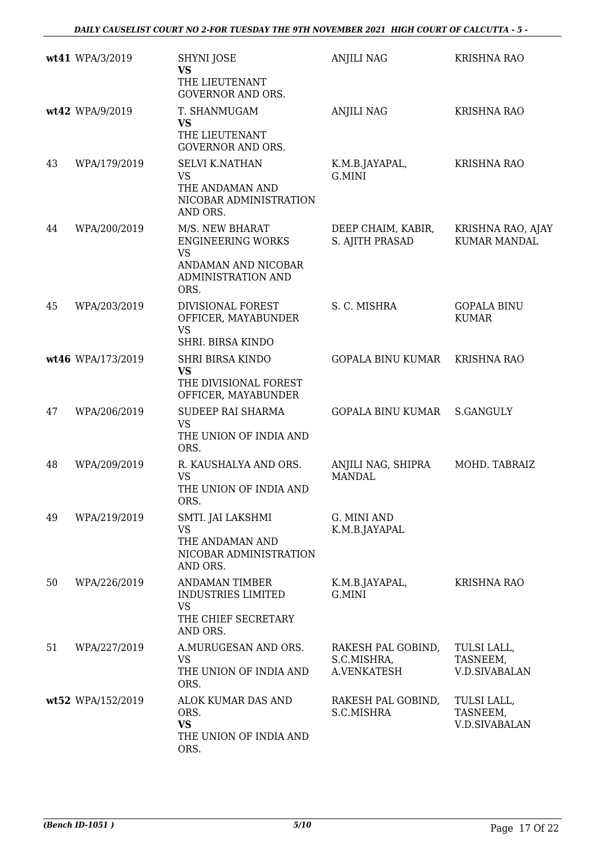|    | wt41 WPA/3/2019   | <b>SHYNI JOSE</b><br><b>VS</b><br>THE LIEUTENANT<br><b>GOVERNOR AND ORS.</b>                                  | <b>ANJILI NAG</b>                                | <b>KRISHNA RAO</b>                              |
|----|-------------------|---------------------------------------------------------------------------------------------------------------|--------------------------------------------------|-------------------------------------------------|
|    | wt42 WPA/9/2019   | T. SHANMUGAM<br><b>VS</b><br>THE LIEUTENANT<br><b>GOVERNOR AND ORS.</b>                                       | <b>ANJILI NAG</b>                                | <b>KRISHNA RAO</b>                              |
| 43 | WPA/179/2019      | <b>SELVI K.NATHAN</b><br><b>VS</b><br>THE ANDAMAN AND<br>NICOBAR ADMINISTRATION<br>AND ORS.                   | K.M.B.JAYAPAL,<br>G.MINI                         | <b>KRISHNA RAO</b>                              |
| 44 | WPA/200/2019      | M/S. NEW BHARAT<br><b>ENGINEERING WORKS</b><br><b>VS</b><br>ANDAMAN AND NICOBAR<br>ADMINISTRATION AND<br>ORS. | DEEP CHAIM, KABIR,<br>S. AJITH PRASAD            | KRISHNA RAO, AJAY<br><b>KUMAR MANDAL</b>        |
| 45 | WPA/203/2019      | DIVISIONAL FOREST<br>OFFICER, MAYABUNDER<br><b>VS</b><br>SHRI. BIRSA KINDO                                    | S. C. MISHRA                                     | <b>GOPALA BINU</b><br><b>KUMAR</b>              |
|    | wt46 WPA/173/2019 | <b>SHRI BIRSA KINDO</b><br><b>VS</b><br>THE DIVISIONAL FOREST<br>OFFICER, MAYABUNDER                          | <b>GOPALA BINU KUMAR</b>                         | <b>KRISHNA RAO</b>                              |
| 47 | WPA/206/2019      | SUDEEP RAI SHARMA<br><b>VS</b><br>THE UNION OF INDIA AND<br>ORS.                                              | <b>GOPALA BINU KUMAR</b>                         | <b>S.GANGULY</b>                                |
| 48 | WPA/209/2019      | R. KAUSHALYA AND ORS.<br><b>VS</b><br>THE UNION OF INDIA AND<br>ORS.                                          | ANJILI NAG, SHIPRA<br><b>MANDAL</b>              | MOHD. TABRAIZ                                   |
| 49 | WPA/219/2019      | SMTI. JAI LAKSHMI<br><b>VS</b><br>THE ANDAMAN AND<br>NICOBAR ADMINISTRATION<br>AND ORS.                       | G. MINI AND<br>K.M.B.JAYAPAL                     |                                                 |
| 50 | WPA/226/2019      | <b>ANDAMAN TIMBER</b><br><b>INDUSTRIES LIMITED</b><br><b>VS</b><br>THE CHIEF SECRETARY<br>AND ORS.            | K.M.B.JAYAPAL,<br>G.MINI                         | <b>KRISHNA RAO</b>                              |
| 51 | WPA/227/2019      | A.MURUGESAN AND ORS.<br>VS<br>THE UNION OF INDIA AND<br>ORS.                                                  | RAKESH PAL GOBIND,<br>S.C.MISHRA,<br>A.VENKATESH | TULSI LALL,<br>TASNEEM,<br><b>V.D.SIVABALAN</b> |
|    | wt52 WPA/152/2019 | ALOK KUMAR DAS AND<br>ORS.<br><b>VS</b><br>THE UNION OF INDIA AND<br>ORS.                                     | RAKESH PAL GOBIND,<br>S.C.MISHRA                 | TULSI LALL,<br>TASNEEM,<br><b>V.D.SIVABALAN</b> |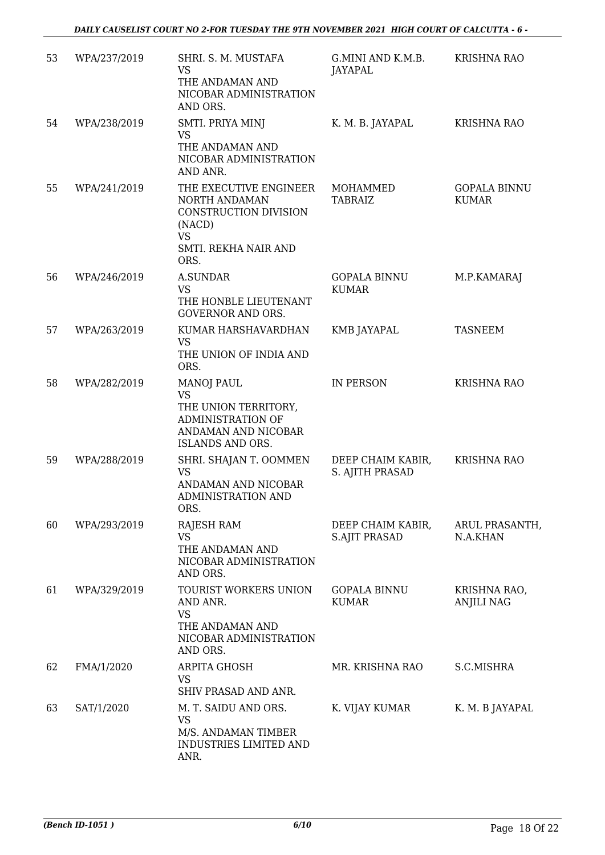| 53 | WPA/237/2019 | SHRI. S. M. MUSTAFA<br><b>VS</b><br>THE ANDAMAN AND<br>NICOBAR ADMINISTRATION<br>AND ORS.                               | G.MINI AND K.M.B.<br>JAYAPAL              | <b>KRISHNA RAO</b>                  |
|----|--------------|-------------------------------------------------------------------------------------------------------------------------|-------------------------------------------|-------------------------------------|
| 54 | WPA/238/2019 | SMTI. PRIYA MINJ<br><b>VS</b><br>THE ANDAMAN AND<br>NICOBAR ADMINISTRATION<br>AND ANR.                                  | K. M. B. JAYAPAL                          | <b>KRISHNA RAO</b>                  |
| 55 | WPA/241/2019 | THE EXECUTIVE ENGINEER<br>NORTH ANDAMAN<br>CONSTRUCTION DIVISION<br>(NACD)<br><b>VS</b><br>SMTI. REKHA NAIR AND<br>ORS. | MOHAMMED<br><b>TABRAIZ</b>                | <b>GOPALA BINNU</b><br><b>KUMAR</b> |
| 56 | WPA/246/2019 | <b>A.SUNDAR</b><br><b>VS</b><br>THE HONBLE LIEUTENANT<br><b>GOVERNOR AND ORS.</b>                                       | <b>GOPALA BINNU</b><br><b>KUMAR</b>       | M.P.KAMARAJ                         |
| 57 | WPA/263/2019 | KUMAR HARSHAVARDHAN<br><b>VS</b><br>THE UNION OF INDIA AND<br>ORS.                                                      | KMB JAYAPAL                               | <b>TASNEEM</b>                      |
| 58 | WPA/282/2019 | <b>MANOJ PAUL</b><br><b>VS</b><br>THE UNION TERRITORY,<br>ADMINISTRATION OF<br>ANDAMAN AND NICOBAR<br>ISLANDS AND ORS.  | IN PERSON                                 | <b>KRISHNA RAO</b>                  |
| 59 | WPA/288/2019 | SHRI. SHAJAN T. OOMMEN<br><b>VS</b><br>ANDAMAN AND NICOBAR<br>ADMINISTRATION AND<br>ORS.                                | DEEP CHAIM KABIR,<br>S. AJITH PRASAD      | <b>KRISHNA RAO</b>                  |
| 60 | WPA/293/2019 | <b>RAJESH RAM</b><br><b>VS</b><br>THE ANDAMAN AND<br>NICOBAR ADMINISTRATION<br>AND ORS.                                 | DEEP CHAIM KABIR,<br><b>S.AJIT PRASAD</b> | ARUL PRASANTH,<br>N.A.KHAN          |
| 61 | WPA/329/2019 | TOURIST WORKERS UNION<br>AND ANR.<br><b>VS</b><br>THE ANDAMAN AND<br>NICOBAR ADMINISTRATION<br>AND ORS.                 | <b>GOPALA BINNU</b><br><b>KUMAR</b>       | KRISHNA RAO,<br><b>ANJILI NAG</b>   |
| 62 | FMA/1/2020   | ARPITA GHOSH<br><b>VS</b><br>SHIV PRASAD AND ANR.                                                                       | MR. KRISHNA RAO                           | S.C.MISHRA                          |
| 63 | SAT/1/2020   | M. T. SAIDU AND ORS.<br><b>VS</b><br>M/S. ANDAMAN TIMBER<br>INDUSTRIES LIMITED AND<br>ANR.                              | K. VIJAY KUMAR                            | K. M. B JAYAPAL                     |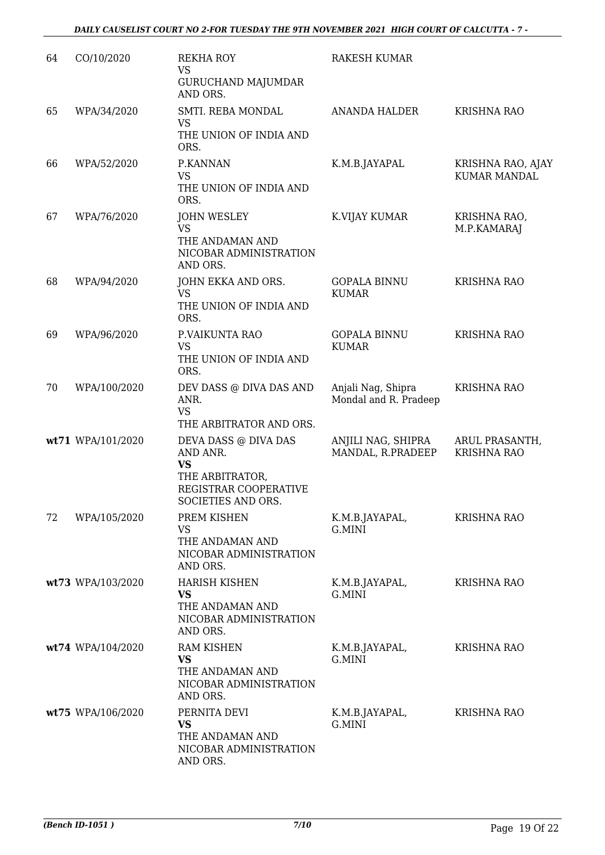| 64 | CO/10/2020        | <b>REKHA ROY</b><br><b>VS</b><br><b>GURUCHAND MAJUMDAR</b>                                                      | <b>RAKESH KUMAR</b>                         |                                          |
|----|-------------------|-----------------------------------------------------------------------------------------------------------------|---------------------------------------------|------------------------------------------|
| 65 | WPA/34/2020       | AND ORS.<br>SMTI. REBA MONDAL<br><b>VS</b><br>THE UNION OF INDIA AND                                            | <b>ANANDA HALDER</b>                        | <b>KRISHNA RAO</b>                       |
| 66 | WPA/52/2020       | ORS.<br>P.KANNAN<br><b>VS</b><br>THE UNION OF INDIA AND<br>ORS.                                                 | K.M.B.JAYAPAL                               | KRISHNA RAO, AJAY<br><b>KUMAR MANDAL</b> |
| 67 | WPA/76/2020       | <b>JOHN WESLEY</b><br><b>VS</b><br>THE ANDAMAN AND<br>NICOBAR ADMINISTRATION<br>AND ORS.                        | K.VIJAY KUMAR                               | KRISHNA RAO,<br>M.P.KAMARAJ              |
| 68 | WPA/94/2020       | JOHN EKKA AND ORS.<br><b>VS</b><br>THE UNION OF INDIA AND<br>ORS.                                               | <b>GOPALA BINNU</b><br><b>KUMAR</b>         | <b>KRISHNA RAO</b>                       |
| 69 | WPA/96/2020       | P.VAIKUNTA RAO<br><b>VS</b><br>THE UNION OF INDIA AND<br>ORS.                                                   | <b>GOPALA BINNU</b><br><b>KUMAR</b>         | <b>KRISHNA RAO</b>                       |
| 70 | WPA/100/2020      | DEV DASS @ DIVA DAS AND<br>ANR.<br><b>VS</b><br>THE ARBITRATOR AND ORS.                                         | Anjali Nag, Shipra<br>Mondal and R. Pradeep | <b>KRISHNA RAO</b>                       |
|    | wt71 WPA/101/2020 | DEVA DASS @ DIVA DAS<br>AND ANR.<br><b>VS</b><br>THE ARBITRATOR,<br>REGISTRAR COOPERATIVE<br>SOCIETIES AND ORS. | ANJILI NAG, SHIPRA<br>MANDAL, R.PRADEEP     | ARUL PRASANTH,<br><b>KRISHNA RAO</b>     |
| 72 | WPA/105/2020      | PREM KISHEN<br><b>VS</b><br>THE ANDAMAN AND<br>NICOBAR ADMINISTRATION<br>AND ORS.                               | K.M.B.JAYAPAL,<br>G.MINI                    | <b>KRISHNA RAO</b>                       |
|    | wt73 WPA/103/2020 | <b>HARISH KISHEN</b><br><b>VS</b><br>THE ANDAMAN AND<br>NICOBAR ADMINISTRATION<br>AND ORS.                      | K.M.B.JAYAPAL,<br>G.MINI                    | <b>KRISHNA RAO</b>                       |
|    | wt74 WPA/104/2020 | <b>RAM KISHEN</b><br><b>VS</b><br>THE ANDAMAN AND<br>NICOBAR ADMINISTRATION<br>AND ORS.                         | K.M.B.JAYAPAL,<br>G.MINI                    | <b>KRISHNA RAO</b>                       |
|    | wt75 WPA/106/2020 | PERNITA DEVI<br><b>VS</b><br>THE ANDAMAN AND<br>NICOBAR ADMINISTRATION<br>AND ORS.                              | K.M.B.JAYAPAL,<br>G.MINI                    | <b>KRISHNA RAO</b>                       |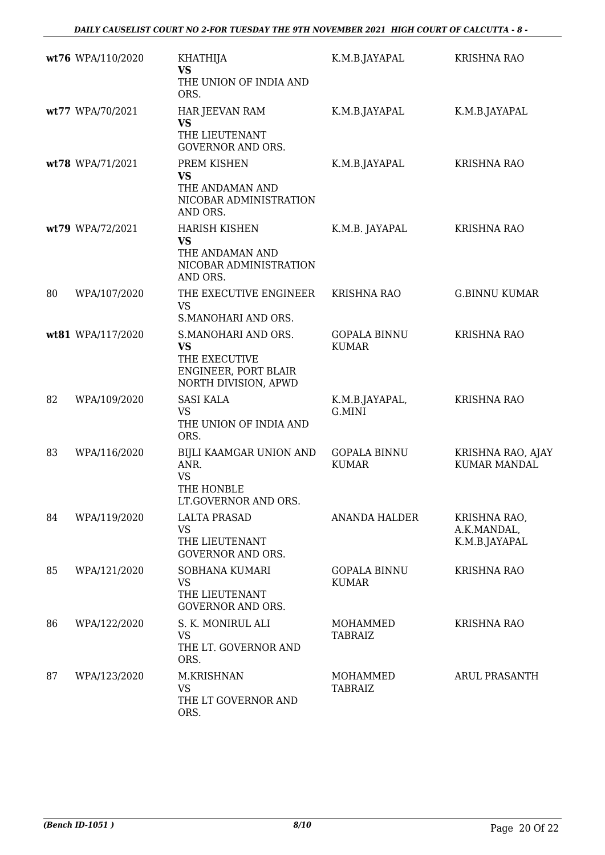|    | wt76 WPA/110/2020 | <b>KHATHIJA</b><br>VS                                                                             | K.M.B.JAYAPAL                       | <b>KRISHNA RAO</b>                           |
|----|-------------------|---------------------------------------------------------------------------------------------------|-------------------------------------|----------------------------------------------|
|    |                   | THE UNION OF INDIA AND<br>ORS.                                                                    |                                     |                                              |
|    | wt77 WPA/70/2021  | HAR JEEVAN RAM<br><b>VS</b>                                                                       | K.M.B.JAYAPAL                       | K.M.B.JAYAPAL                                |
|    |                   | THE LIEUTENANT<br><b>GOVERNOR AND ORS.</b>                                                        |                                     |                                              |
|    | wt78 WPA/71/2021  | PREM KISHEN<br><b>VS</b><br>THE ANDAMAN AND<br>NICOBAR ADMINISTRATION<br>AND ORS.                 | K.M.B.JAYAPAL                       | <b>KRISHNA RAO</b>                           |
|    | wt79 WPA/72/2021  | <b>HARISH KISHEN</b><br><b>VS</b><br>THE ANDAMAN AND<br>NICOBAR ADMINISTRATION<br>AND ORS.        | K.M.B. JAYAPAL                      | <b>KRISHNA RAO</b>                           |
| 80 | WPA/107/2020      | THE EXECUTIVE ENGINEER<br><b>VS</b><br>S.MANOHARI AND ORS.                                        | KRISHNA RAO                         | <b>G.BINNU KUMAR</b>                         |
|    | wt81 WPA/117/2020 | S.MANOHARI AND ORS.<br><b>VS</b><br>THE EXECUTIVE<br>ENGINEER, PORT BLAIR<br>NORTH DIVISION, APWD | <b>GOPALA BINNU</b><br><b>KUMAR</b> | <b>KRISHNA RAO</b>                           |
| 82 | WPA/109/2020      | <b>SASI KALA</b><br><b>VS</b><br>THE UNION OF INDIA AND<br>ORS.                                   | K.M.B.JAYAPAL,<br>G.MINI            | <b>KRISHNA RAO</b>                           |
| 83 | WPA/116/2020      | BIJLI KAAMGAR UNION AND<br>ANR.<br><b>VS</b><br>THE HONBLE<br>LT.GOVERNOR AND ORS.                | <b>GOPALA BINNU</b><br><b>KUMAR</b> | KRISHNA RAO, AJAY<br><b>KUMAR MANDAL</b>     |
| 84 | WPA/119/2020      | <b>LALTA PRASAD</b><br><b>VS</b><br>THE LIEUTENANT<br><b>GOVERNOR AND ORS.</b>                    | <b>ANANDA HALDER</b>                | KRISHNA RAO,<br>A.K.MANDAL,<br>K.M.B.JAYAPAL |
| 85 | WPA/121/2020      | SOBHANA KUMARI<br><b>VS</b><br>THE LIEUTENANT<br><b>GOVERNOR AND ORS.</b>                         | <b>GOPALA BINNU</b><br><b>KUMAR</b> | <b>KRISHNA RAO</b>                           |
| 86 | WPA/122/2020      | S. K. MONIRUL ALI<br><b>VS</b><br>THE LT. GOVERNOR AND<br>ORS.                                    | <b>MOHAMMED</b><br><b>TABRAIZ</b>   | <b>KRISHNA RAO</b>                           |
| 87 | WPA/123/2020      | M.KRISHNAN<br><b>VS</b><br>THE LT GOVERNOR AND<br>ORS.                                            | MOHAMMED<br><b>TABRAIZ</b>          | <b>ARUL PRASANTH</b>                         |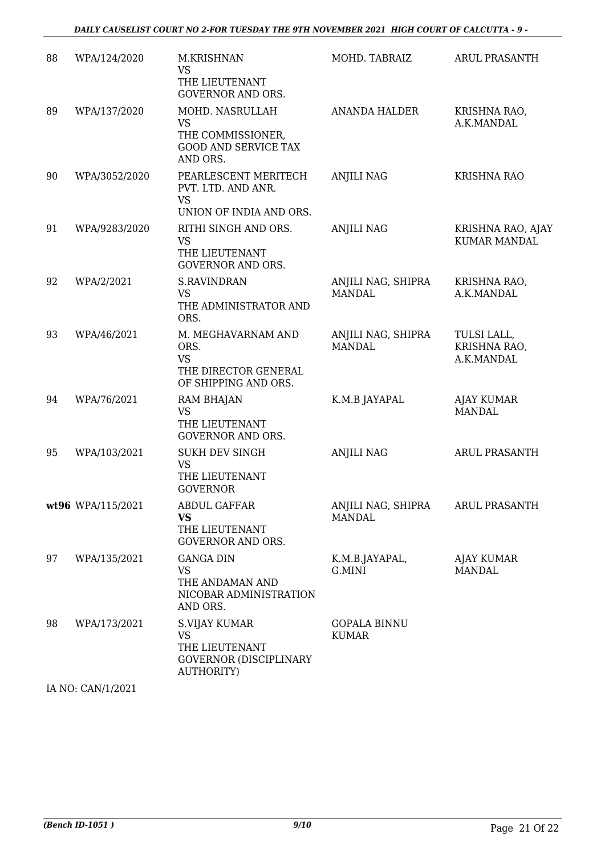| 88 | WPA/124/2020      | M.KRISHNAN<br><b>VS</b><br>THE LIEUTENANT<br><b>GOVERNOR AND ORS.</b>                        | MOHD. TABRAIZ                       | <b>ARUL PRASANTH</b>                      |
|----|-------------------|----------------------------------------------------------------------------------------------|-------------------------------------|-------------------------------------------|
| 89 | WPA/137/2020      | MOHD. NASRULLAH<br><b>VS</b><br>THE COMMISSIONER,<br><b>GOOD AND SERVICE TAX</b><br>AND ORS. | <b>ANANDA HALDER</b>                | KRISHNA RAO,<br>A.K.MANDAL                |
| 90 | WPA/3052/2020     | PEARLESCENT MERITECH<br>PVT. LTD. AND ANR.<br><b>VS</b><br>UNION OF INDIA AND ORS.           | <b>ANJILI NAG</b>                   | KRISHNA RAO                               |
| 91 | WPA/9283/2020     | RITHI SINGH AND ORS.<br><b>VS</b><br>THE LIEUTENANT<br><b>GOVERNOR AND ORS.</b>              | <b>ANJILI NAG</b>                   | KRISHNA RAO, AJAY<br><b>KUMAR MANDAL</b>  |
| 92 | WPA/2/2021        | <b>S.RAVINDRAN</b><br>VS<br>THE ADMINISTRATOR AND<br>ORS.                                    | ANJILI NAG, SHIPRA<br><b>MANDAL</b> | KRISHNA RAO,<br>A.K.MANDAL                |
| 93 | WPA/46/2021       | M. MEGHAVARNAM AND<br>ORS.<br><b>VS</b><br>THE DIRECTOR GENERAL<br>OF SHIPPING AND ORS.      | ANJILI NAG, SHIPRA<br><b>MANDAL</b> | TULSI LALL,<br>KRISHNA RAO,<br>A.K.MANDAL |
| 94 | WPA/76/2021       | RAM BHAJAN<br><b>VS</b><br>THE LIEUTENANT<br><b>GOVERNOR AND ORS.</b>                        | K.M.B JAYAPAL                       | <b>AJAY KUMAR</b><br><b>MANDAL</b>        |
| 95 | WPA/103/2021      | <b>SUKH DEV SINGH</b><br>VS<br>THE LIEUTENANT<br><b>GOVERNOR</b>                             | <b>ANJILI NAG</b>                   | <b>ARUL PRASANTH</b>                      |
|    | wt96 WPA/115/2021 | <b>ABDUL GAFFAR</b><br><b>VS</b><br>THE LIEUTENANT<br>GOVERNOR AND ORS.                      | ANJILI NAG, SHIPRA<br><b>MANDAL</b> | <b>ARUL PRASANTH</b>                      |
| 97 | WPA/135/2021      | <b>GANGA DIN</b><br><b>VS</b><br>THE ANDAMAN AND<br>NICOBAR ADMINISTRATION<br>AND ORS.       | K.M.B.JAYAPAL,<br>G.MINI            | AJAY KUMAR<br><b>MANDAL</b>               |
| 98 | WPA/173/2021      | S.VIJAY KUMAR<br>VS<br>THE LIEUTENANT<br><b>GOVERNOR (DISCIPLINARY</b><br><b>AUTHORITY)</b>  | <b>GOPALA BINNU</b><br><b>KUMAR</b> |                                           |
|    | IA NO: CAN/1/2021 |                                                                                              |                                     |                                           |